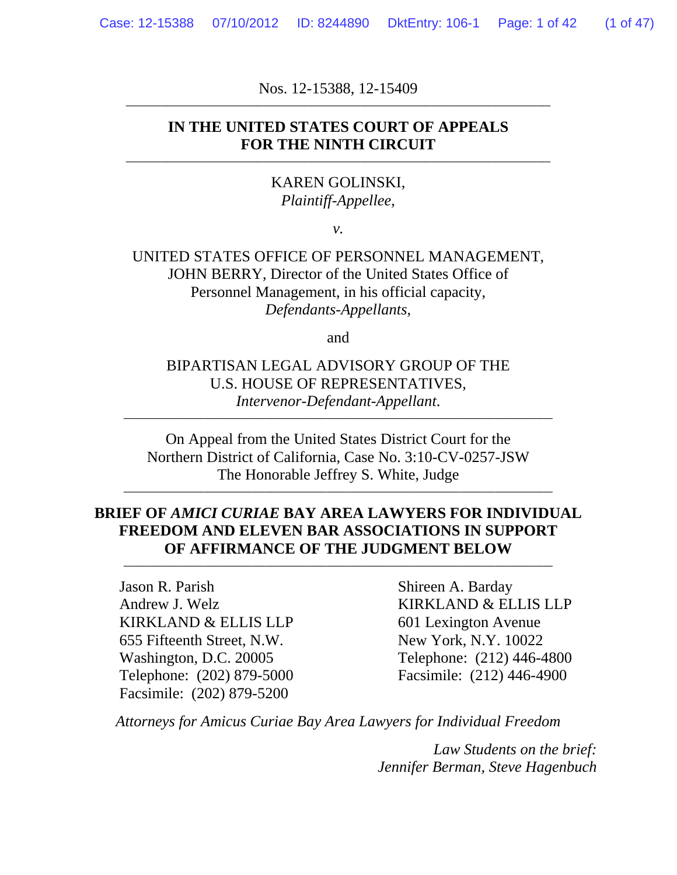Nos. 12-15388, 12-15409 **\_\_\_\_\_\_\_\_\_\_\_\_\_\_\_\_\_\_\_\_\_\_\_\_\_\_\_\_\_\_\_\_\_\_\_\_\_\_\_\_\_\_\_\_\_\_\_\_\_\_\_\_\_\_\_\_\_\_\_\_\_\_\_\_\_\_\_\_\_\_\_\_\_\_\_\_\_\_\_\_\_\_\_\_\_\_\_\_\_\_\_\_\_\_\_\_** 

#### **IN THE UNITED STATES COURT OF APPEALS**  FOR THE NINTH CIRCUIT

#### KAREN GOLINSKI, *Plaintiff-Appellee*,

*v.* 

UNITED STATES OFFICE OF PERSONNEL MANAGEMENT, JOHN BERRY, Director of the United States Office of Personnel Management, in his official capacity, *Defendants-Appellants*,

and

#### BIPARTISAN LEGAL ADVISORY GROUP OF THE U.S. HOUSE OF REPRESENTATIVES, *Intervenor-Defendant-Appellant*.

**\_\_\_\_\_\_\_\_\_\_\_\_\_\_\_\_\_\_\_\_\_\_\_\_\_\_\_\_\_\_\_\_\_\_\_\_\_\_\_\_\_\_\_\_\_\_\_\_\_\_\_\_\_\_\_\_\_\_\_\_\_\_\_\_\_\_\_\_\_\_\_\_\_\_\_\_\_\_\_\_\_\_\_\_\_\_\_\_\_\_\_\_\_\_\_\_\_** 

On Appeal from the United States District Court for the Northern District of California, Case No. 3:10-CV-0257-JSW The Honorable Jeffrey S. White, Judge

**\_\_\_\_\_\_\_\_\_\_\_\_\_\_\_\_\_\_\_\_\_\_\_\_\_\_\_\_\_\_\_\_\_\_\_\_\_\_\_\_\_\_\_\_\_\_\_\_\_\_\_\_\_\_\_\_\_\_\_\_\_\_\_\_\_\_\_\_\_\_\_\_\_\_\_\_\_\_\_\_\_\_\_\_\_\_\_\_\_\_\_\_\_\_\_\_\_** 

#### **BRIEF OF** *AMICI CURIAE* **BAY AREA LAWYERS FOR INDIVIDUAL FREEDOM AND ELEVEN BAR ASSOCIATIONS IN SUPPORT**  OF AFFIRMANCE OF THE JUDGMENT BELOW

Jason R. Parish Shireen A. Barday KIRKLAND & ELLIS LLP 601 Lexington Avenue 655 Fifteenth Street, N.W. New York, N.Y. 10022 Telephone: (202) 879-5000 Facsimile: (212) 446-4900 Facsimile: (202) 879-5200

Andrew J. Welz KIRKLAND & ELLIS LLP Washington, D.C. 20005 Telephone: (212) 446-4800

*Attorneys for Amicus Curiae Bay Area Lawyers for Individual Freedom*

*Law Students on the brief: Jennifer Berman, Steve Hagenbuch*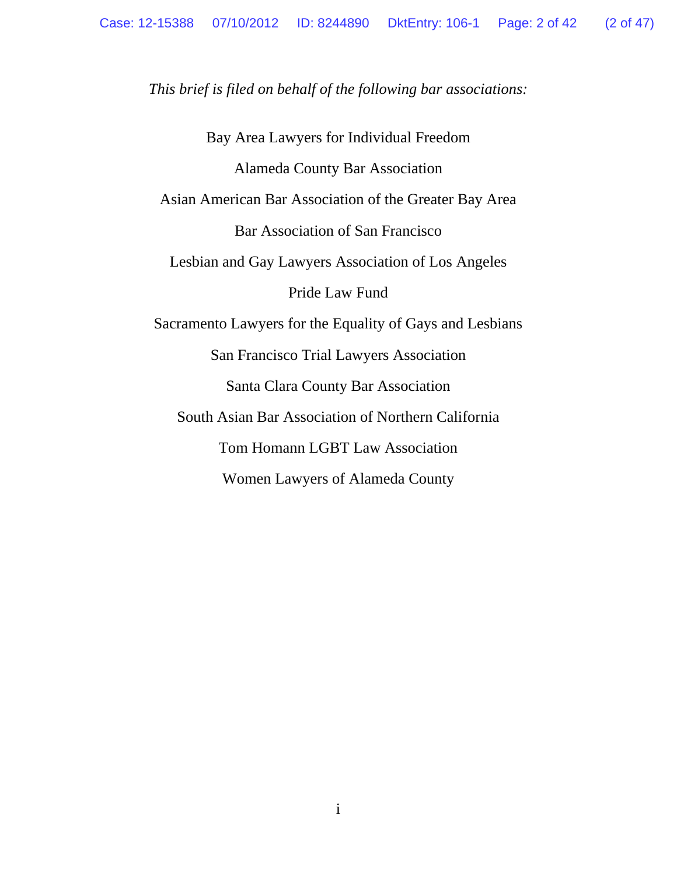*This brief is filed on behalf of the following bar associations:* 

Bay Area Lawyers for Individual Freedom Alameda County Bar Association Asian American Bar Association of the Greater Bay Area Bar Association of San Francisco Lesbian and Gay Lawyers Association of Los Angeles Pride Law Fund Sacramento Lawyers for the Equality of Gays and Lesbians San Francisco Trial Lawyers Association Santa Clara County Bar Association South Asian Bar Association of Northern California Tom Homann LGBT Law Association Women Lawyers of Alameda County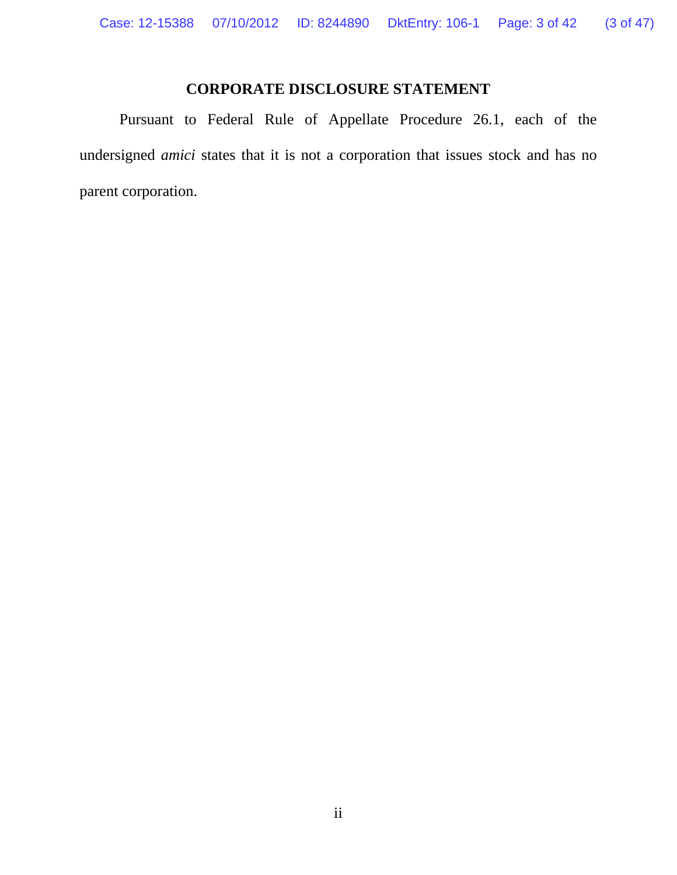## **CORPORATE DISCLOSURE STATEMENT**

Pursuant to Federal Rule of Appellate Procedure 26.1, each of the undersigned *amici* states that it is not a corporation that issues stock and has no parent corporation.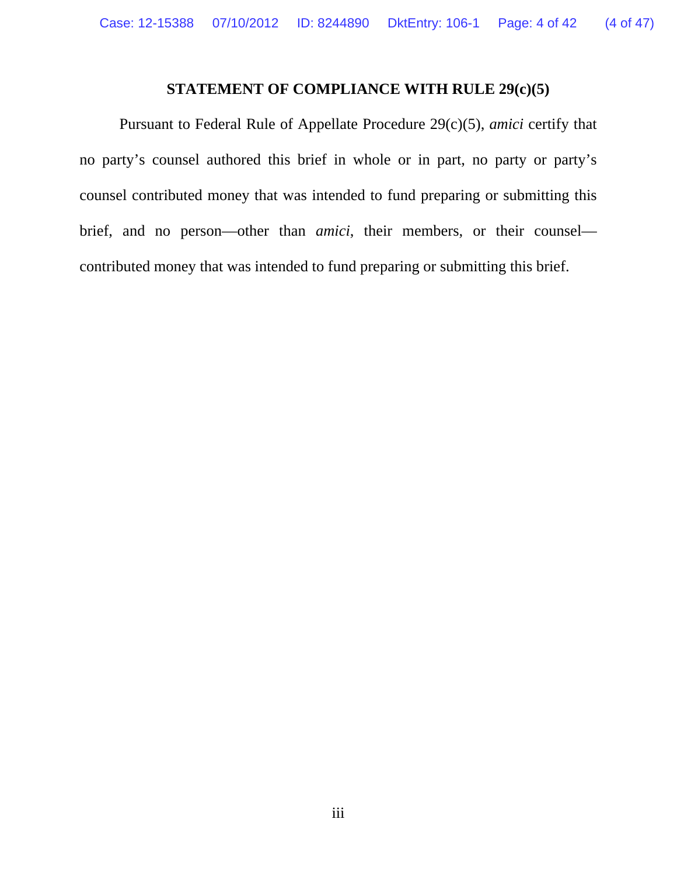#### **STATEMENT OF COMPLIANCE WITH RULE 29(c)(5)**

Pursuant to Federal Rule of Appellate Procedure 29(c)(5), *amici* certify that no party's counsel authored this brief in whole or in part, no party or party's counsel contributed money that was intended to fund preparing or submitting this brief, and no person—other than *amici*, their members, or their counsel contributed money that was intended to fund preparing or submitting this brief.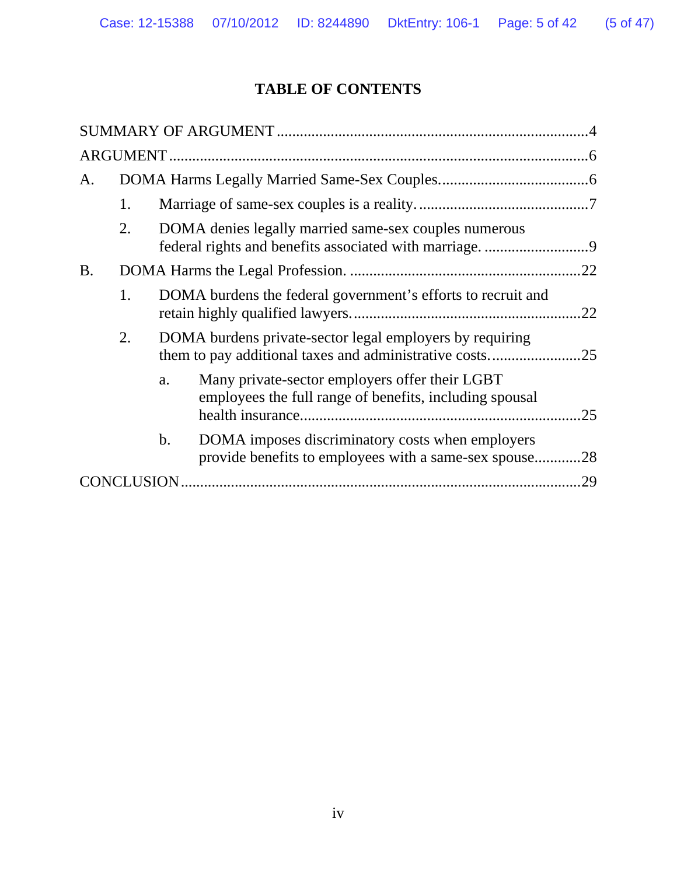# **TABLE OF CONTENTS**

| A.        |             |                                                                     |                                                                                                           |     |  |  |  |
|-----------|-------------|---------------------------------------------------------------------|-----------------------------------------------------------------------------------------------------------|-----|--|--|--|
|           | 1.          |                                                                     |                                                                                                           |     |  |  |  |
|           | 2.          |                                                                     | DOMA denies legally married same-sex couples numerous                                                     |     |  |  |  |
| <b>B.</b> |             |                                                                     |                                                                                                           |     |  |  |  |
|           | 1.          | DOMA burdens the federal government's efforts to recruit and<br>.22 |                                                                                                           |     |  |  |  |
|           | 2.          |                                                                     | DOMA burdens private-sector legal employers by requiring                                                  |     |  |  |  |
|           |             | a.                                                                  | Many private-sector employers offer their LGBT<br>employees the full range of benefits, including spousal | .25 |  |  |  |
|           |             | b.                                                                  | DOMA imposes discriminatory costs when employers<br>provide benefits to employees with a same-sex spouse  | .28 |  |  |  |
|           | CONCLUSION. |                                                                     |                                                                                                           | .29 |  |  |  |
|           |             |                                                                     |                                                                                                           |     |  |  |  |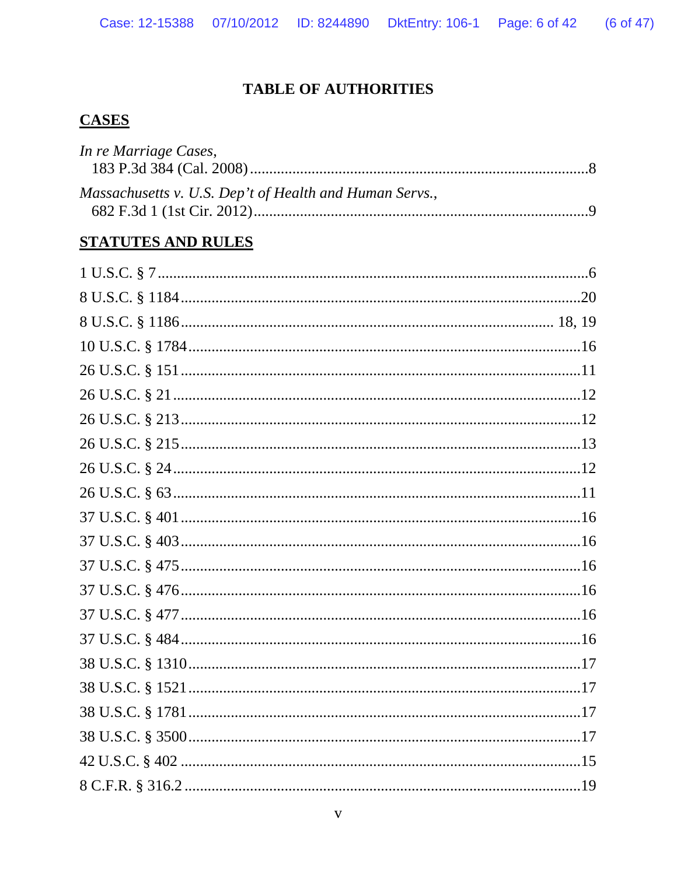## **TABLE OF AUTHORITIES**

## **CASES**

| In re Marriage Cases,                                   |  |
|---------------------------------------------------------|--|
| Massachusetts v. U.S. Dep't of Health and Human Servs., |  |

#### **STATUTES AND RULES**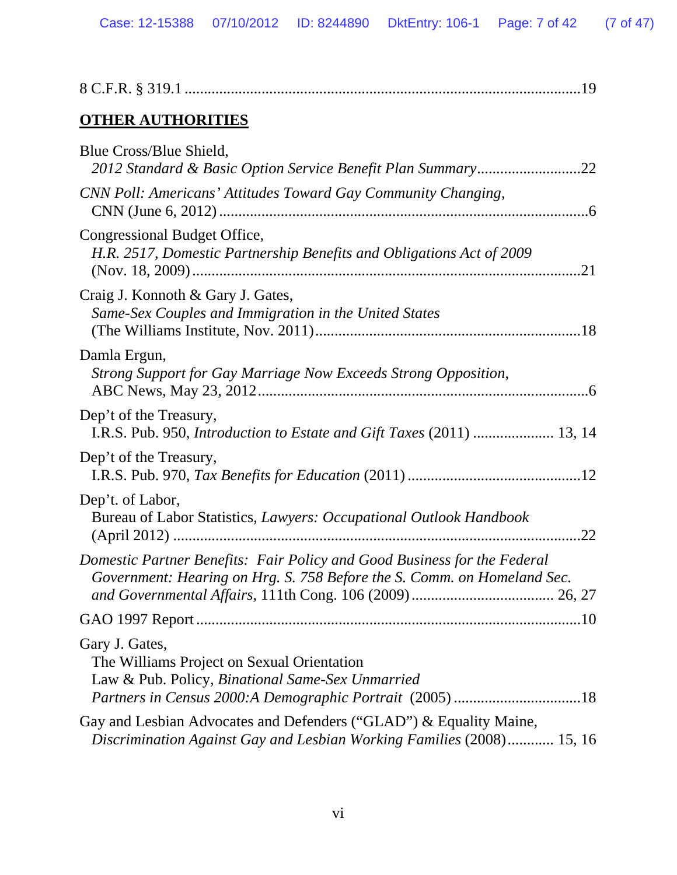| <b>OTHER AUTHORITIES</b>                                                                                                                            |
|-----------------------------------------------------------------------------------------------------------------------------------------------------|
| Blue Cross/Blue Shield,<br>2012 Standard & Basic Option Service Benefit Plan Summary22                                                              |
| CNN Poll: Americans' Attitudes Toward Gay Community Changing,                                                                                       |
| Congressional Budget Office,<br>H.R. 2517, Domestic Partnership Benefits and Obligations Act of 2009                                                |
| Craig J. Konnoth & Gary J. Gates,<br>Same-Sex Couples and Immigration in the United States                                                          |
| Damla Ergun,<br>Strong Support for Gay Marriage Now Exceeds Strong Opposition,                                                                      |
| Dep't of the Treasury,<br>I.R.S. Pub. 950, Introduction to Estate and Gift Taxes (2011)  13, 14                                                     |
| Dep't of the Treasury,                                                                                                                              |
| Dep't. of Labor,<br>Bureau of Labor Statistics, Lawyers: Occupational Outlook Handbook                                                              |
| Domestic Partner Benefits: Fair Policy and Good Business for the Federal<br>Government: Hearing on Hrg. S. 758 Before the S. Comm. on Homeland Sec. |
|                                                                                                                                                     |
| Gary J. Gates,<br>The Williams Project on Sexual Orientation<br>Law & Pub. Policy, Binational Same-Sex Unmarried                                    |
| Gay and Lesbian Advocates and Defenders ("GLAD") & Equality Maine,<br>Discrimination Against Gay and Lesbian Working Families (2008) 15, 16         |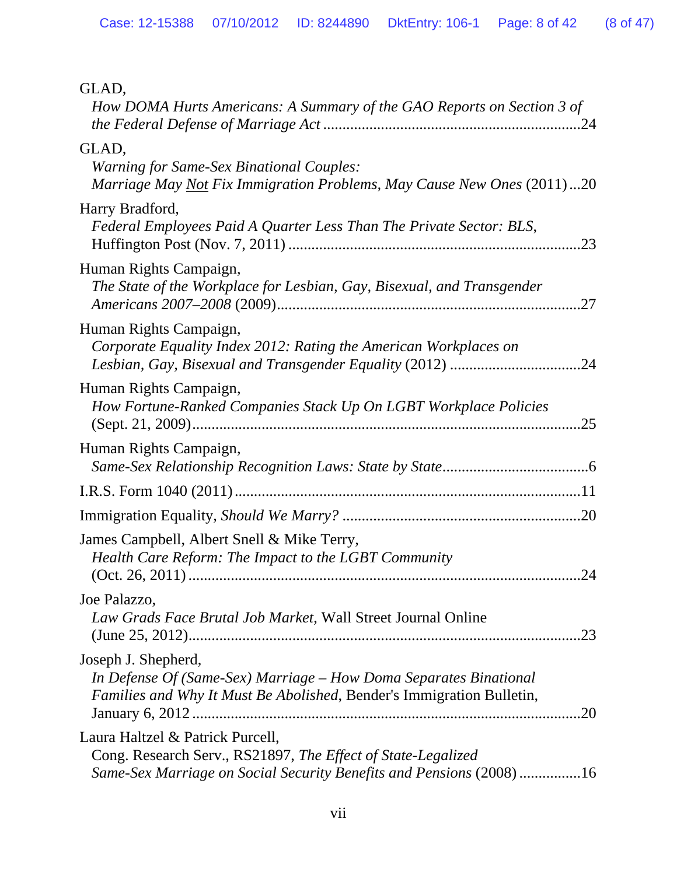| GLAD,<br>How DOMA Hurts Americans: A Summary of the GAO Reports on Section 3 of                                                                                         |
|-------------------------------------------------------------------------------------------------------------------------------------------------------------------------|
| GLAD,<br><b>Warning for Same-Sex Binational Couples:</b><br>Marriage May Not Fix Immigration Problems, May Cause New Ones (2011)20                                      |
| Harry Bradford,<br>Federal Employees Paid A Quarter Less Than The Private Sector: BLS,                                                                                  |
| Human Rights Campaign,<br>The State of the Workplace for Lesbian, Gay, Bisexual, and Transgender                                                                        |
| Human Rights Campaign,<br>Corporate Equality Index 2012: Rating the American Workplaces on                                                                              |
| Human Rights Campaign,<br>How Fortune-Ranked Companies Stack Up On LGBT Workplace Policies                                                                              |
| Human Rights Campaign,                                                                                                                                                  |
|                                                                                                                                                                         |
|                                                                                                                                                                         |
| James Campbell, Albert Snell & Mike Terry,<br>Health Care Reform: The Impact to the LGBT Community<br>24                                                                |
| Joe Palazzo,<br>Law Grads Face Brutal Job Market, Wall Street Journal Online                                                                                            |
| Joseph J. Shepherd,<br>In Defense Of (Same-Sex) Marriage – How Doma Separates Binational<br>Families and Why It Must Be Abolished, Bender's Immigration Bulletin,       |
| Laura Haltzel & Patrick Purcell,<br>Cong. Research Serv., RS21897, The Effect of State-Legalized<br>Same-Sex Marriage on Social Security Benefits and Pensions (2008)16 |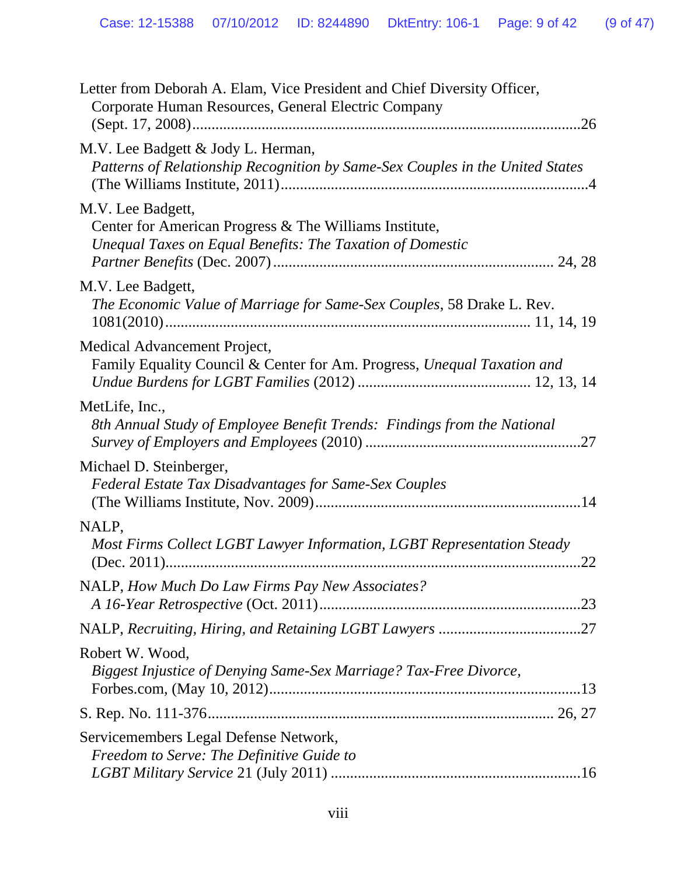| Letter from Deborah A. Elam, Vice President and Chief Diversity Officer,<br>Corporate Human Resources, General Electric Company          |
|------------------------------------------------------------------------------------------------------------------------------------------|
| M.V. Lee Badgett & Jody L. Herman,<br>Patterns of Relationship Recognition by Same-Sex Couples in the United States                      |
| M.V. Lee Badgett,<br>Center for American Progress & The Williams Institute,<br>Unequal Taxes on Equal Benefits: The Taxation of Domestic |
| M.V. Lee Badgett,<br>The Economic Value of Marriage for Same-Sex Couples, 58 Drake L. Rev.<br>$1081(2010)$                               |
| Medical Advancement Project,<br>Family Equality Council & Center for Am. Progress, Unequal Taxation and                                  |
| MetLife, Inc.,<br>8th Annual Study of Employee Benefit Trends: Findings from the National                                                |
| Michael D. Steinberger,<br><b>Federal Estate Tax Disadvantages for Same-Sex Couples</b>                                                  |
| NALP,<br>Most Firms Collect LGBT Lawyer Information, LGBT Representation Steady                                                          |
| NALP, How Much Do Law Firms Pay New Associates?                                                                                          |
|                                                                                                                                          |
| Robert W. Wood,<br>Biggest Injustice of Denying Same-Sex Marriage? Tax-Free Divorce,                                                     |
|                                                                                                                                          |
| Servicemembers Legal Defense Network,<br>Freedom to Serve: The Definitive Guide to                                                       |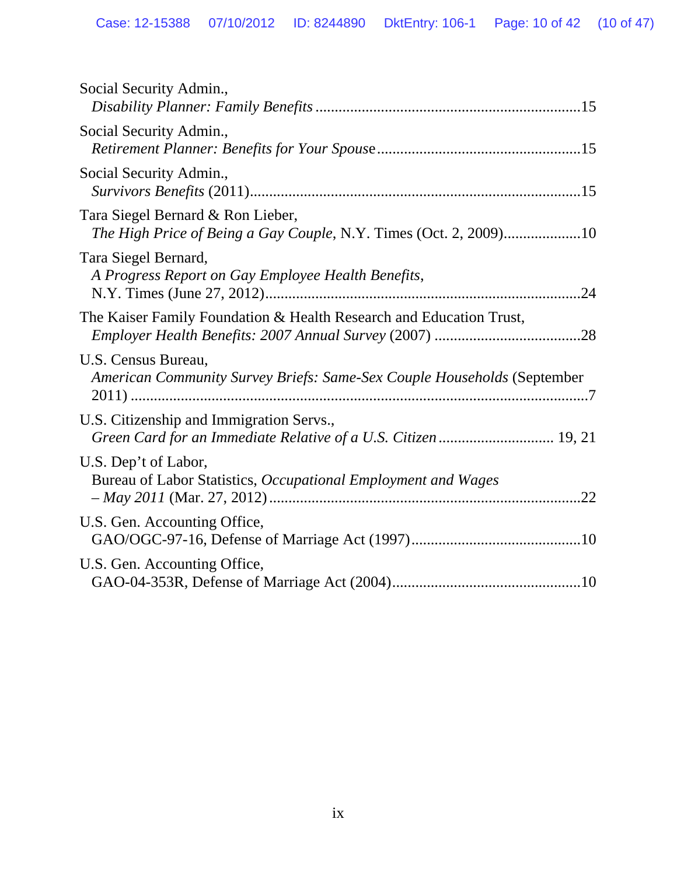| Social Security Admin.,                                                                                    |
|------------------------------------------------------------------------------------------------------------|
| Social Security Admin.,                                                                                    |
| Social Security Admin.,                                                                                    |
| Tara Siegel Bernard & Ron Lieber,<br>The High Price of Being a Gay Couple, N.Y. Times (Oct. 2, 2009)10     |
| Tara Siegel Bernard,<br>A Progress Report on Gay Employee Health Benefits,                                 |
| The Kaiser Family Foundation & Health Research and Education Trust,                                        |
| U.S. Census Bureau,<br>American Community Survey Briefs: Same-Sex Couple Households (September             |
| U.S. Citizenship and Immigration Servs.,<br>Green Card for an Immediate Relative of a U.S. Citizen  19, 21 |
| U.S. Dep't of Labor,<br>Bureau of Labor Statistics, Occupational Employment and Wages                      |
| U.S. Gen. Accounting Office,                                                                               |
| U.S. Gen. Accounting Office,                                                                               |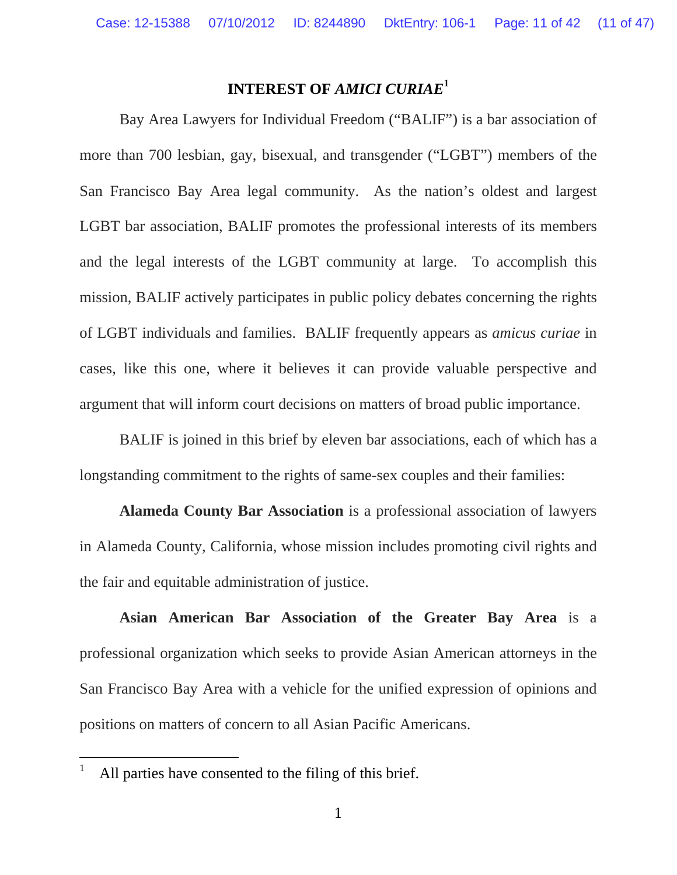### **INTEREST OF** *AMICI CURIAE***<sup>1</sup>**

 Bay Area Lawyers for Individual Freedom ("BALIF") is a bar association of more than 700 lesbian, gay, bisexual, and transgender ("LGBT") members of the San Francisco Bay Area legal community. As the nation's oldest and largest LGBT bar association, BALIF promotes the professional interests of its members and the legal interests of the LGBT community at large. To accomplish this mission, BALIF actively participates in public policy debates concerning the rights of LGBT individuals and families. BALIF frequently appears as *amicus curiae* in cases, like this one, where it believes it can provide valuable perspective and argument that will inform court decisions on matters of broad public importance.

 BALIF is joined in this brief by eleven bar associations, each of which has a longstanding commitment to the rights of same-sex couples and their families:

 **Alameda County Bar Association** is a professional association of lawyers in Alameda County, California, whose mission includes promoting civil rights and the fair and equitable administration of justice.

 **Asian American Bar Association of the Greater Bay Area** is a professional organization which seeks to provide Asian American attorneys in the San Francisco Bay Area with a vehicle for the unified expression of opinions and positions on matters of concern to all Asian Pacific Americans.

<sup>1</sup> All parties have consented to the filing of this brief.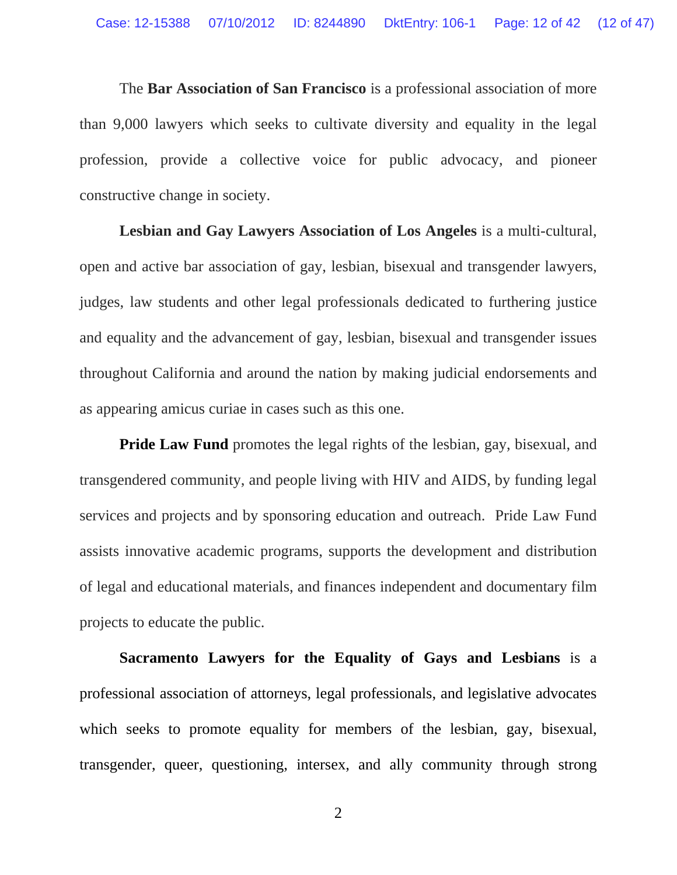The **Bar Association of San Francisco** is a professional association of more than 9,000 lawyers which seeks to cultivate diversity and equality in the legal profession, provide a collective voice for public advocacy, and pioneer constructive change in society.

 **Lesbian and Gay Lawyers Association of Los Angeles** is a multi-cultural, open and active bar association of gay, lesbian, bisexual and transgender lawyers, judges, law students and other legal professionals dedicated to furthering justice and equality and the advancement of gay, lesbian, bisexual and transgender issues throughout California and around the nation by making judicial endorsements and as appearing amicus curiae in cases such as this one.

**Pride Law Fund** promotes the legal rights of the lesbian, gay, bisexual, and transgendered community, and people living with HIV and AIDS, by funding legal services and projects and by sponsoring education and outreach. Pride Law Fund assists innovative academic programs, supports the development and distribution of legal and educational materials, and finances independent and documentary film projects to educate the public.

**Sacramento Lawyers for the Equality of Gays and Lesbians** is a professional association of attorneys, legal professionals, and legislative advocates which seeks to promote equality for members of the lesbian, gay, bisexual, transgender, queer, questioning, intersex, and ally community through strong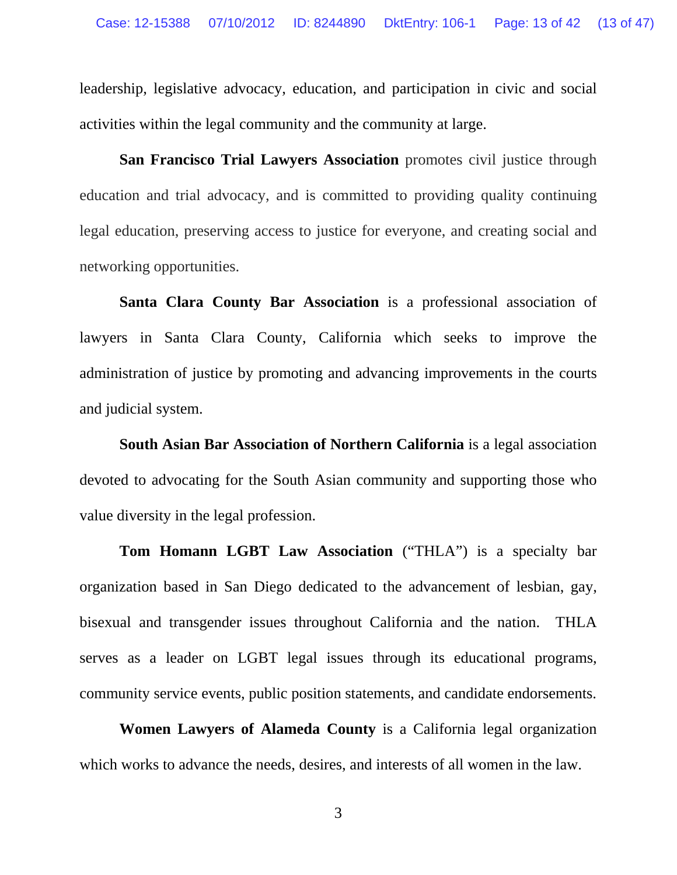leadership, legislative advocacy, education, and participation in civic and social activities within the legal community and the community at large.

**San Francisco Trial Lawyers Association** promotes civil justice through education and trial advocacy, and is committed to providing quality continuing legal education, preserving access to justice for everyone, and creating social and networking opportunities.

**Santa Clara County Bar Association** is a professional association of lawyers in Santa Clara County, California which seeks to improve the administration of justice by promoting and advancing improvements in the courts and judicial system.

**South Asian Bar Association of Northern California** is a legal association devoted to advocating for the South Asian community and supporting those who value diversity in the legal profession.

**Tom Homann LGBT Law Association** ("THLA") is a specialty bar organization based in San Diego dedicated to the advancement of lesbian, gay, bisexual and transgender issues throughout California and the nation. THLA serves as a leader on LGBT legal issues through its educational programs, community service events, public position statements, and candidate endorsements.

 **Women Lawyers of Alameda County** is a California legal organization which works to advance the needs, desires, and interests of all women in the law.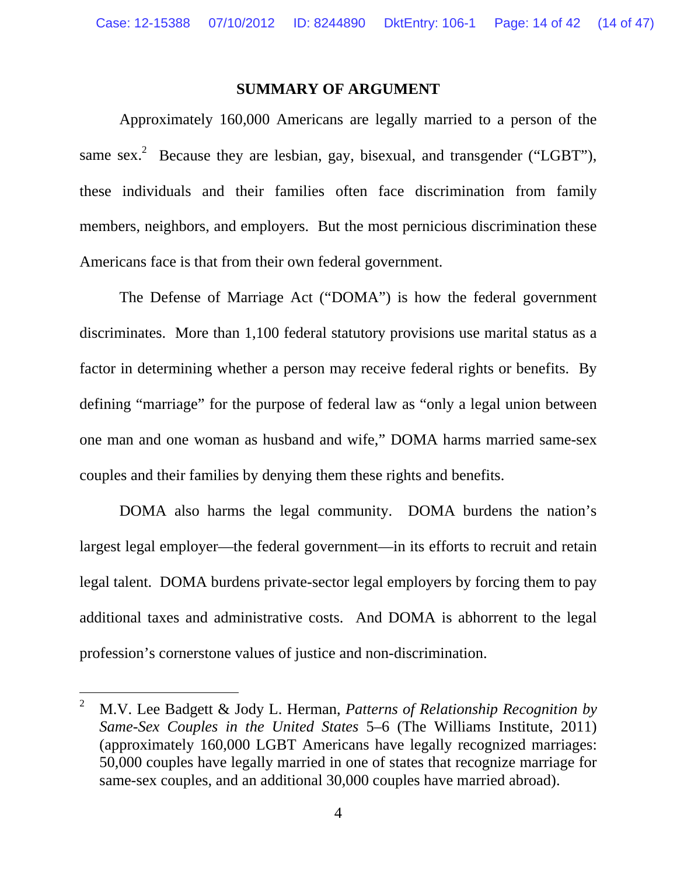#### **SUMMARY OF ARGUMENT**

 Approximately 160,000 Americans are legally married to a person of the same sex.<sup>2</sup> Because they are lesbian, gay, bisexual, and transgender ("LGBT"), these individuals and their families often face discrimination from family members, neighbors, and employers. But the most pernicious discrimination these Americans face is that from their own federal government.

 The Defense of Marriage Act ("DOMA") is how the federal government discriminates. More than 1,100 federal statutory provisions use marital status as a factor in determining whether a person may receive federal rights or benefits. By defining "marriage" for the purpose of federal law as "only a legal union between one man and one woman as husband and wife," DOMA harms married same-sex couples and their families by denying them these rights and benefits.

 DOMA also harms the legal community. DOMA burdens the nation's largest legal employer—the federal government—in its efforts to recruit and retain legal talent. DOMA burdens private-sector legal employers by forcing them to pay additional taxes and administrative costs. And DOMA is abhorrent to the legal profession's cornerstone values of justice and non-discrimination.

l

<sup>2</sup> M.V. Lee Badgett & Jody L. Herman, *Patterns of Relationship Recognition by Same-Sex Couples in the United States* 5–6 (The Williams Institute, 2011) (approximately 160,000 LGBT Americans have legally recognized marriages: 50,000 couples have legally married in one of states that recognize marriage for same-sex couples, and an additional 30,000 couples have married abroad).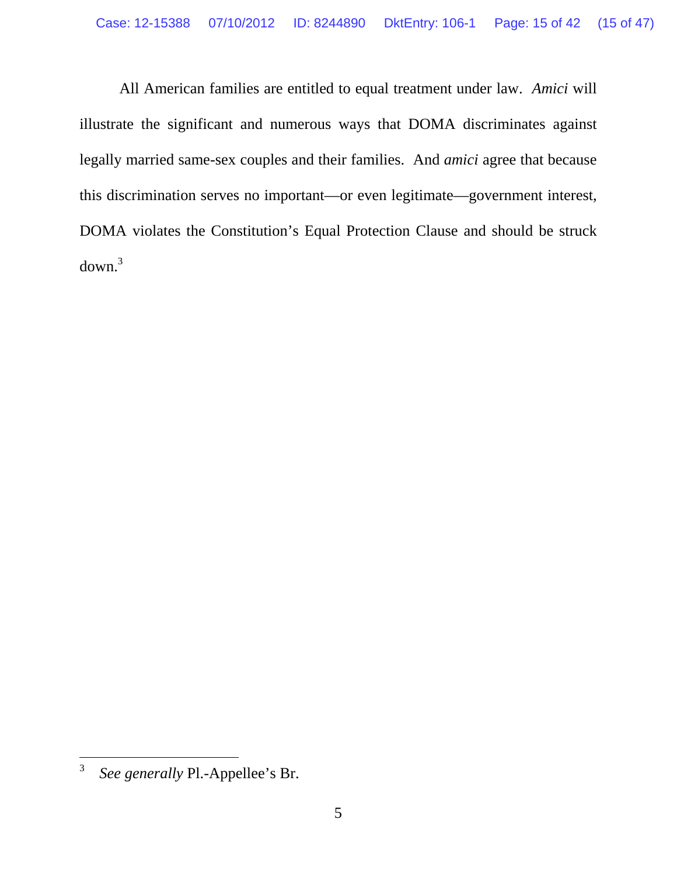All American families are entitled to equal treatment under law. *Amici* will illustrate the significant and numerous ways that DOMA discriminates against legally married same-sex couples and their families. And *amici* agree that because this discrimination serves no important—or even legitimate—government interest, DOMA violates the Constitution's Equal Protection Clause and should be struck  $down.<sup>3</sup>$ 

<sup>3</sup> *See generally* Pl.-Appellee's Br.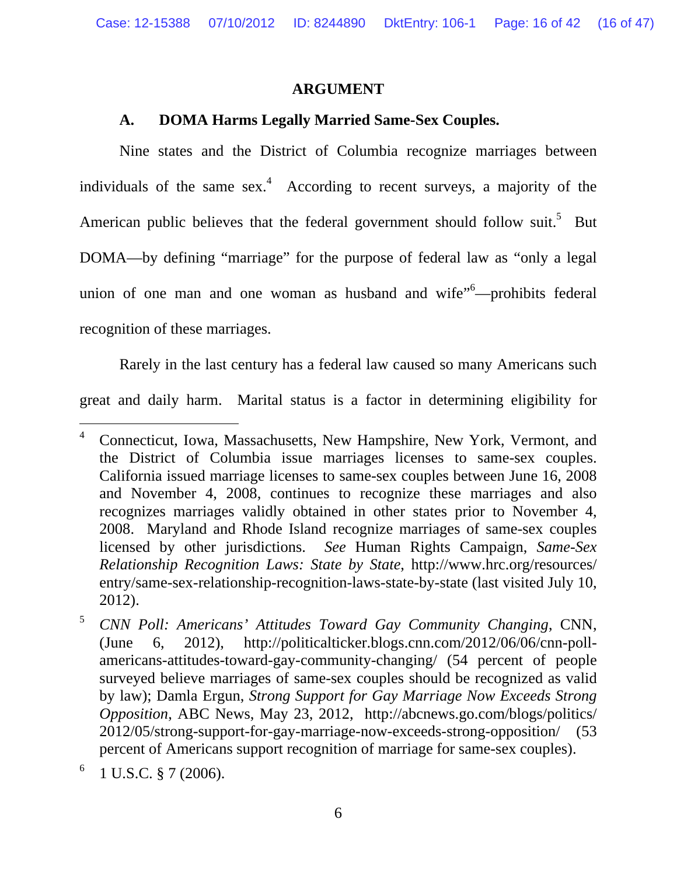#### **ARGUMENT**

#### **A. DOMA Harms Legally Married Same-Sex Couples.**

 Nine states and the District of Columbia recognize marriages between individuals of the same sex.<sup>4</sup> According to recent surveys, a majority of the American public believes that the federal government should follow suit.<sup>5</sup> But DOMA—by defining "marriage" for the purpose of federal law as "only a legal union of one man and one woman as husband and wife<sup>"6</sup>—prohibits federal recognition of these marriages.

 Rarely in the last century has a federal law caused so many Americans such great and daily harm. Marital status is a factor in determining eligibility for

 $\overline{a}$ 4 Connecticut, Iowa, Massachusetts, New Hampshire, New York, Vermont, and the District of Columbia issue marriages licenses to same-sex couples. California issued marriage licenses to same-sex couples between June 16, 2008 and November 4, 2008, continues to recognize these marriages and also recognizes marriages validly obtained in other states prior to November 4, 2008. Maryland and Rhode Island recognize marriages of same-sex couples licensed by other jurisdictions. *See* Human Rights Campaign, *Same-Sex Relationship Recognition Laws: State by State*, http://www.hrc.org/resources/ entry/same-sex-relationship-recognition-laws-state-by-state (last visited July 10, 2012).

<sup>5</sup> *CNN Poll: Americans' Attitudes Toward Gay Community Changing*, CNN, (June 6, 2012), http://politicalticker.blogs.cnn.com/2012/06/06/cnn-pollamericans-attitudes-toward-gay-community-changing/ (54 percent of people surveyed believe marriages of same-sex couples should be recognized as valid by law); Damla Ergun, *Strong Support for Gay Marriage Now Exceeds Strong Opposition*, ABC News, May 23, 2012, http://abcnews.go.com/blogs/politics/ 2012/05/strong-support-for-gay-marriage-now-exceeds-strong-opposition/ (53 percent of Americans support recognition of marriage for same-sex couples).

<sup>6</sup> 1 U.S.C. § 7 (2006).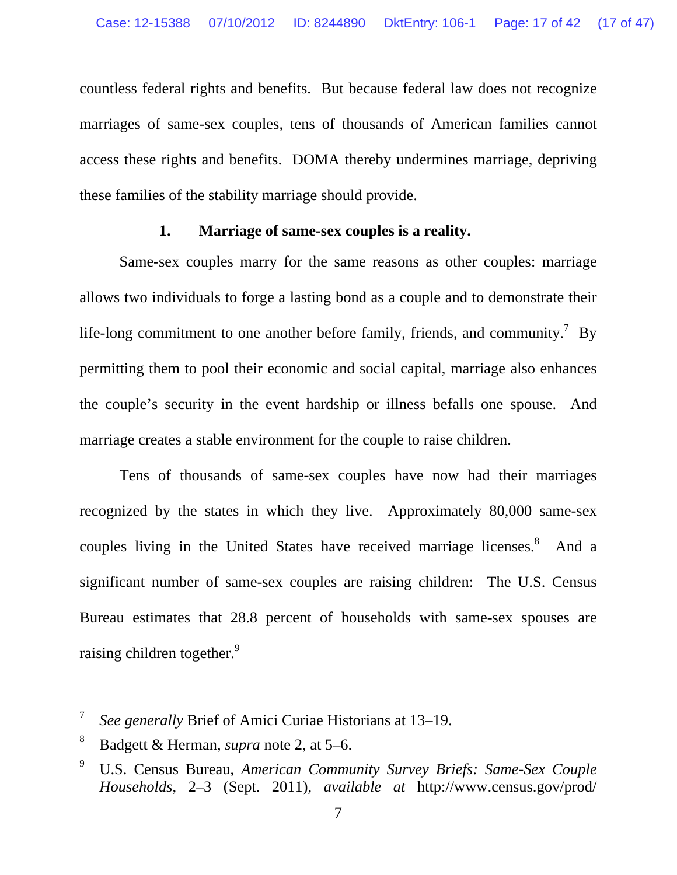countless federal rights and benefits. But because federal law does not recognize marriages of same-sex couples, tens of thousands of American families cannot access these rights and benefits. DOMA thereby undermines marriage, depriving these families of the stability marriage should provide.

#### **1. Marriage of same-sex couples is a reality.**

 Same-sex couples marry for the same reasons as other couples: marriage allows two individuals to forge a lasting bond as a couple and to demonstrate their life-long commitment to one another before family, friends, and community.<sup>7</sup> By permitting them to pool their economic and social capital, marriage also enhances the couple's security in the event hardship or illness befalls one spouse. And marriage creates a stable environment for the couple to raise children.

 Tens of thousands of same-sex couples have now had their marriages recognized by the states in which they live. Approximately 80,000 same-sex couples living in the United States have received marriage licenses. $8$  And a significant number of same-sex couples are raising children: The U.S. Census Bureau estimates that 28.8 percent of households with same-sex spouses are raising children together.<sup>9</sup>

<sup>7</sup> *See generally* Brief of Amici Curiae Historians at 13–19.

<sup>8</sup> Badgett & Herman, *supra* note 2, at 5–6.

<sup>9</sup> U.S. Census Bureau, *American Community Survey Briefs: Same-Sex Couple Households*, 2–3 (Sept. 2011), *available at* http://www.census.gov/prod/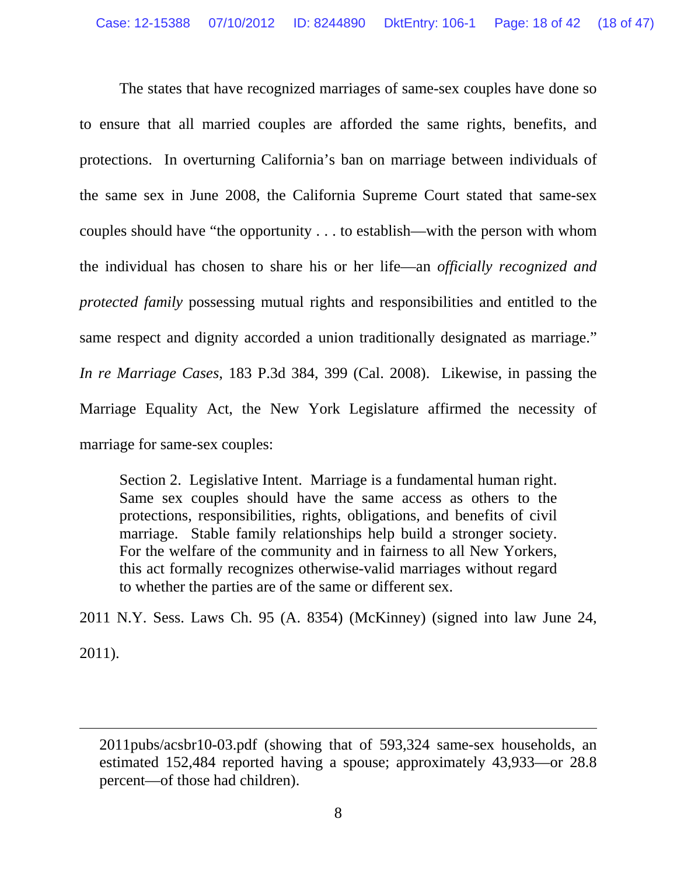The states that have recognized marriages of same-sex couples have done so to ensure that all married couples are afforded the same rights, benefits, and protections. In overturning California's ban on marriage between individuals of the same sex in June 2008, the California Supreme Court stated that same-sex couples should have "the opportunity . . . to establish—with the person with whom the individual has chosen to share his or her life—an *officially recognized and protected family* possessing mutual rights and responsibilities and entitled to the same respect and dignity accorded a union traditionally designated as marriage." *In re Marriage Cases*, 183 P.3d 384, 399 (Cal. 2008). Likewise, in passing the Marriage Equality Act, the New York Legislature affirmed the necessity of marriage for same-sex couples:

Section 2. Legislative Intent. Marriage is a fundamental human right. Same sex couples should have the same access as others to the protections, responsibilities, rights, obligations, and benefits of civil marriage. Stable family relationships help build a stronger society. For the welfare of the community and in fairness to all New Yorkers, this act formally recognizes otherwise-valid marriages without regard to whether the parties are of the same or different sex.

2011 N.Y. Sess. Laws Ch. 95 (A. 8354) (McKinney) (signed into law June 24, 2011).

<sup>2011</sup>pubs/acsbr10-03.pdf (showing that of 593,324 same-sex households, an estimated 152,484 reported having a spouse; approximately 43,933—or 28.8 percent—of those had children).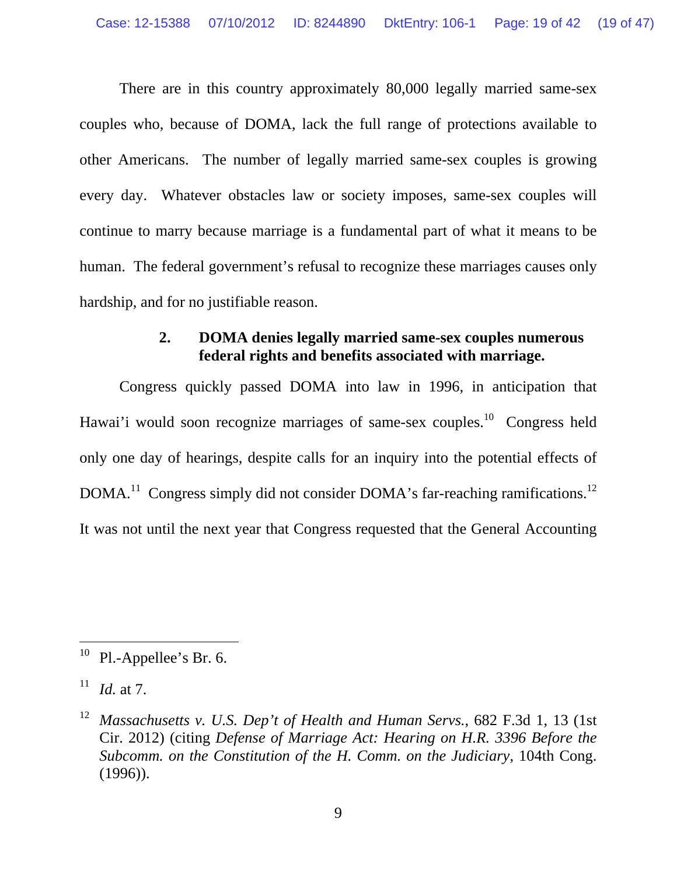There are in this country approximately 80,000 legally married same-sex couples who, because of DOMA, lack the full range of protections available to other Americans. The number of legally married same-sex couples is growing every day. Whatever obstacles law or society imposes, same-sex couples will continue to marry because marriage is a fundamental part of what it means to be human. The federal government's refusal to recognize these marriages causes only hardship, and for no justifiable reason.

#### **2. DOMA denies legally married same-sex couples numerous federal rights and benefits associated with marriage.**

 Congress quickly passed DOMA into law in 1996, in anticipation that Hawai'i would soon recognize marriages of same-sex couples.<sup>10</sup> Congress held only one day of hearings, despite calls for an inquiry into the potential effects of DOMA.<sup>11</sup> Congress simply did not consider DOMA's far-reaching ramifications.<sup>12</sup> It was not until the next year that Congress requested that the General Accounting

 $10$  Pl.-Appellee's Br. 6.

 $11$  *Id.* at 7.

<sup>12</sup> *Massachusetts v. U.S. Dep't of Health and Human Servs.*, 682 F.3d 1, 13 (1st Cir. 2012) (citing *Defense of Marriage Act: Hearing on H.R. 3396 Before the Subcomm. on the Constitution of the H. Comm. on the Judiciary*, 104th Cong. (1996)).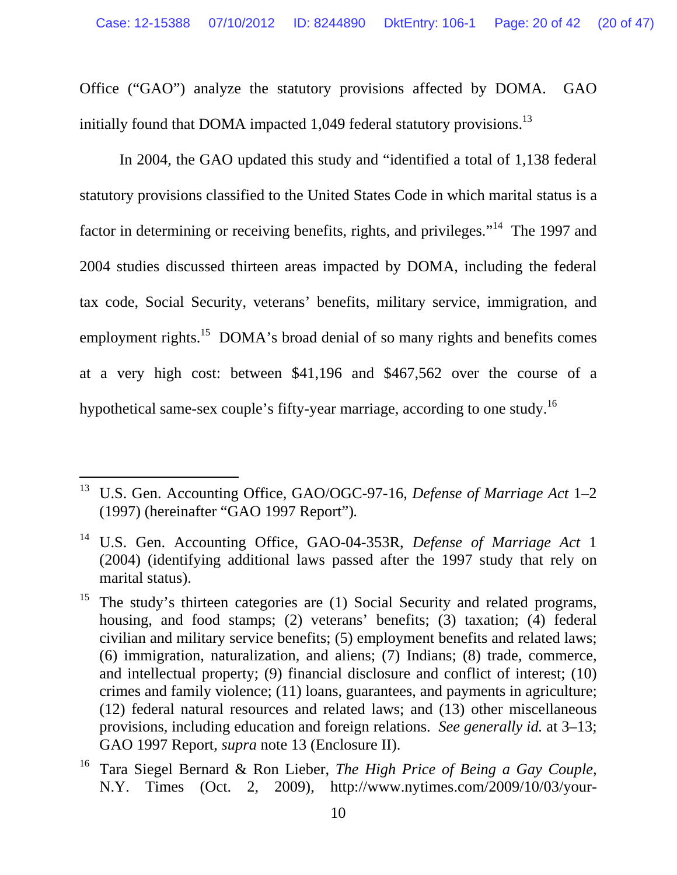Office ("GAO") analyze the statutory provisions affected by DOMA. GAO initially found that DOMA impacted 1,049 federal statutory provisions.<sup>13</sup>

 In 2004, the GAO updated this study and "identified a total of 1,138 federal statutory provisions classified to the United States Code in which marital status is a factor in determining or receiving benefits, rights, and privileges."<sup>14</sup> The 1997 and 2004 studies discussed thirteen areas impacted by DOMA, including the federal tax code, Social Security, veterans' benefits, military service, immigration, and employment rights.<sup>15</sup> DOMA's broad denial of so many rights and benefits comes at a very high cost: between \$41,196 and \$467,562 over the course of a hypothetical same-sex couple's fifty-year marriage, according to one study.<sup>16</sup>

<sup>13</sup> U.S. Gen. Accounting Office, GAO/OGC-97-16, *Defense of Marriage Act* 1–2 (1997) (hereinafter "GAO 1997 Report")*.*

<sup>14</sup> U.S. Gen. Accounting Office, GAO-04-353R, *Defense of Marriage Act* 1 (2004) (identifying additional laws passed after the 1997 study that rely on marital status).

<sup>&</sup>lt;sup>15</sup> The study's thirteen categories are (1) Social Security and related programs, housing, and food stamps; (2) veterans' benefits; (3) taxation; (4) federal civilian and military service benefits; (5) employment benefits and related laws; (6) immigration, naturalization, and aliens; (7) Indians; (8) trade, commerce, and intellectual property; (9) financial disclosure and conflict of interest; (10) crimes and family violence; (11) loans, guarantees, and payments in agriculture; (12) federal natural resources and related laws; and (13) other miscellaneous provisions, including education and foreign relations. *See generally id.* at 3–13; GAO 1997 Report, *supra* note 13 (Enclosure II).

<sup>16</sup> Tara Siegel Bernard & Ron Lieber, *The High Price of Being a Gay Couple*, N.Y. Times (Oct. 2, 2009), http://www.nytimes.com/2009/10/03/your-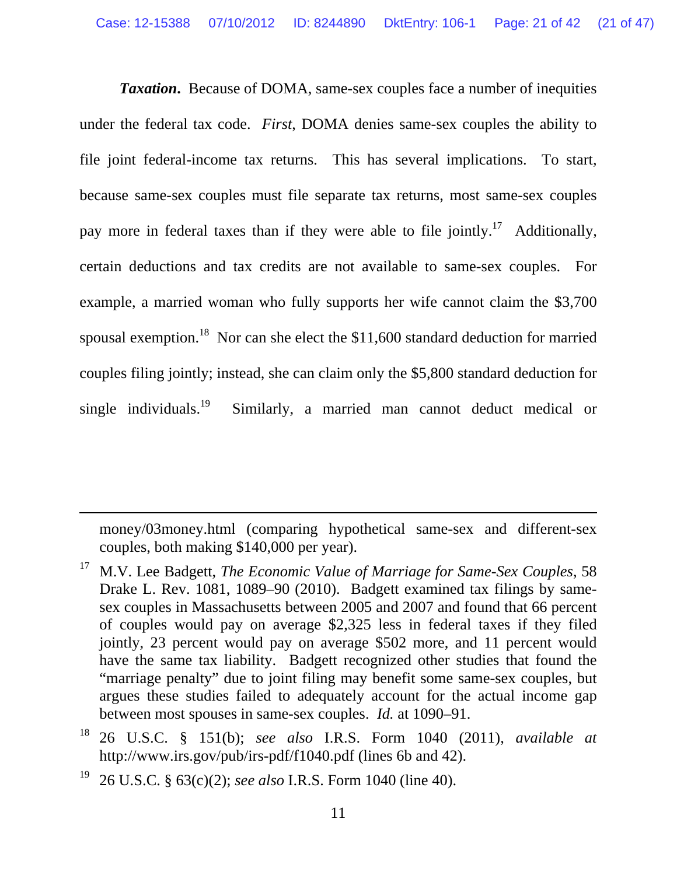*Taxation***.** Because of DOMA, same-sex couples face a number of inequities under the federal tax code. *First*, DOMA denies same-sex couples the ability to file joint federal-income tax returns. This has several implications. To start, because same-sex couples must file separate tax returns, most same-sex couples pay more in federal taxes than if they were able to file jointly.<sup>17</sup> Additionally, certain deductions and tax credits are not available to same-sex couples. For example, a married woman who fully supports her wife cannot claim the \$3,700 spousal exemption.<sup>18</sup> Nor can she elect the  $$11,600$  standard deduction for married couples filing jointly; instead, she can claim only the \$5,800 standard deduction for single individuals.<sup>19</sup> Similarly, a married man cannot deduct medical or

money/03money.html (comparing hypothetical same-sex and different-sex couples, both making \$140,000 per year).

19 26 U.S.C. § 63(c)(2); *see also* I.R.S. Form 1040 (line 40).

<sup>17</sup> M.V. Lee Badgett, *The Economic Value of Marriage for Same-Sex Couples*, 58 Drake L. Rev. 1081, 1089–90 (2010). Badgett examined tax filings by samesex couples in Massachusetts between 2005 and 2007 and found that 66 percent of couples would pay on average \$2,325 less in federal taxes if they filed jointly, 23 percent would pay on average \$502 more, and 11 percent would have the same tax liability. Badgett recognized other studies that found the "marriage penalty" due to joint filing may benefit some same-sex couples, but argues these studies failed to adequately account for the actual income gap between most spouses in same-sex couples. *Id.* at 1090–91.

<sup>18 26</sup> U.S.C. § 151(b); *see also* I.R.S. Form 1040 (2011), *available at* http://www.irs.gov/pub/irs-pdf/f1040.pdf (lines 6b and 42).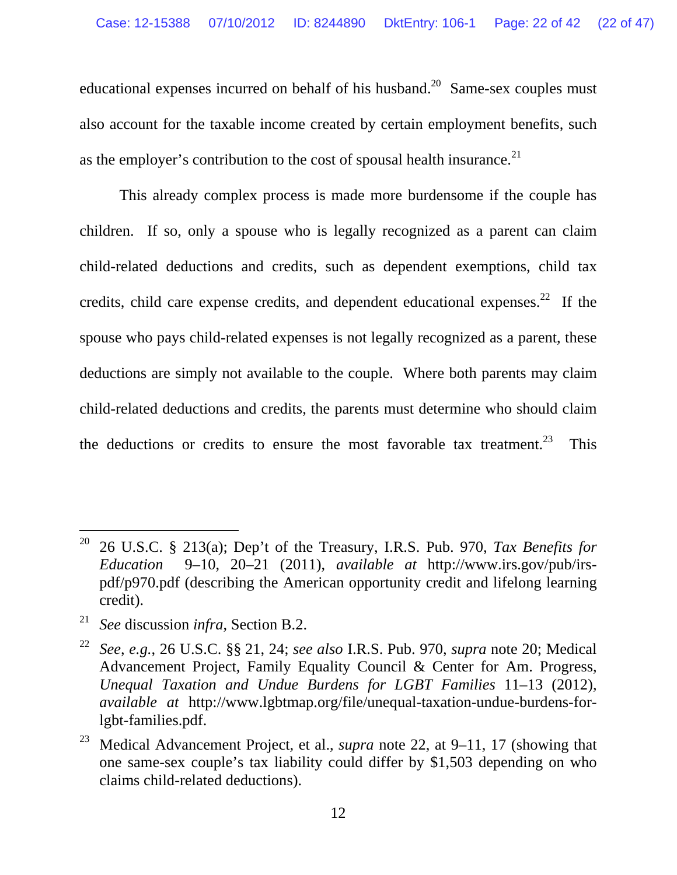educational expenses incurred on behalf of his husband.<sup>20</sup> Same-sex couples must also account for the taxable income created by certain employment benefits, such as the employer's contribution to the cost of spousal health insurance. $21$ 

 This already complex process is made more burdensome if the couple has children. If so, only a spouse who is legally recognized as a parent can claim child-related deductions and credits, such as dependent exemptions, child tax credits, child care expense credits, and dependent educational expenses.<sup>22</sup> If the spouse who pays child-related expenses is not legally recognized as a parent, these deductions are simply not available to the couple. Where both parents may claim child-related deductions and credits, the parents must determine who should claim the deductions or credits to ensure the most favorable tax treatment.<sup>23</sup> This

<sup>&</sup>lt;sup>20</sup> 26 U.S.C. § 213(a); Dep't of the Treasury, I.R.S. Pub. 970, *Tax Benefits for Education* 9–10, 20–21 (2011), *available at* http://www.irs.gov/pub/irspdf/p970.pdf (describing the American opportunity credit and lifelong learning credit).

<sup>21</sup> *See* discussion *infra*, Section B.2.

<sup>22</sup> *See*, *e.g.*, 26 U.S.C. §§ 21, 24; *see also* I.R.S. Pub. 970, *supra* note 20; Medical Advancement Project, Family Equality Council & Center for Am. Progress, *Unequal Taxation and Undue Burdens for LGBT Families* 11–13 (2012), *available at* http://www.lgbtmap.org/file/unequal-taxation-undue-burdens-forlgbt-families.pdf.

<sup>23</sup> Medical Advancement Project*,* et al., *supra* note 22, at 9–11, 17 (showing that one same-sex couple's tax liability could differ by \$1,503 depending on who claims child-related deductions).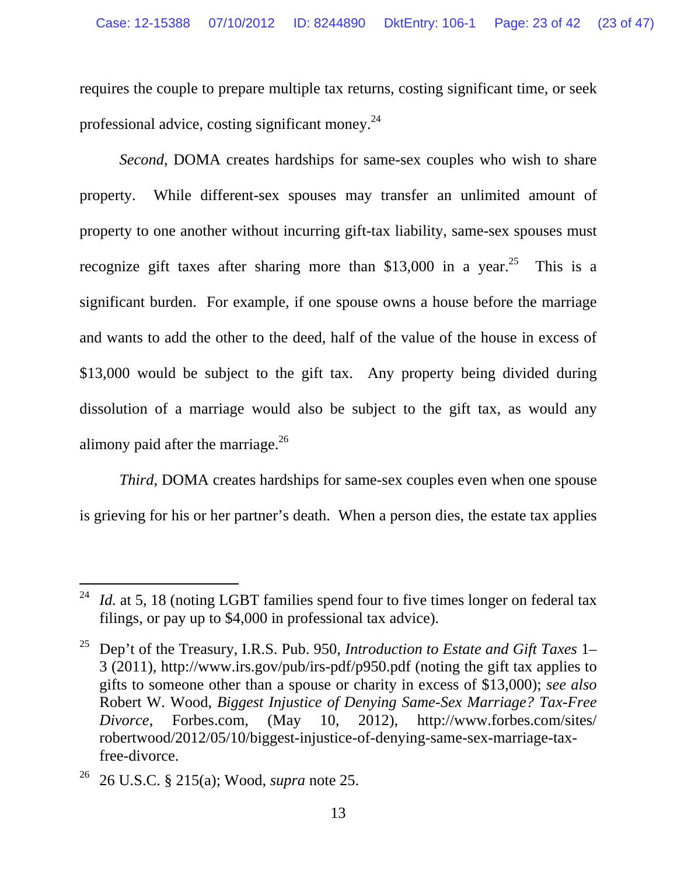requires the couple to prepare multiple tax returns, costing significant time, or seek professional advice, costing significant money. $^{24}$ 

*Second*, DOMA creates hardships for same-sex couples who wish to share property. While different-sex spouses may transfer an unlimited amount of property to one another without incurring gift-tax liability, same-sex spouses must recognize gift taxes after sharing more than \$13,000 in a year.<sup>25</sup> This is a significant burden. For example, if one spouse owns a house before the marriage and wants to add the other to the deed, half of the value of the house in excess of \$13,000 would be subject to the gift tax. Any property being divided during dissolution of a marriage would also be subject to the gift tax, as would any alimony paid after the marriage. $^{26}$ 

*Third*, DOMA creates hardships for same-sex couples even when one spouse is grieving for his or her partner's death. When a person dies, the estate tax applies

<sup>&</sup>lt;sup>24</sup> *Id.* at 5, 18 (noting LGBT families spend four to five times longer on federal tax filings, or pay up to \$4,000 in professional tax advice).

<sup>25</sup> Dep't of the Treasury, I.R.S. Pub. 950, *Introduction to Estate and Gift Taxes* 1– 3 (2011), http://www.irs.gov/pub/irs-pdf/p950.pdf (noting the gift tax applies to gifts to someone other than a spouse or charity in excess of \$13,000); *see also* Robert W. Wood, *Biggest Injustice of Denying Same-Sex Marriage? Tax-Free Divorce*, Forbes.com, (May 10, 2012), http://www.forbes.com/sites/ robertwood/2012/05/10/biggest-injustice-of-denying-same-sex-marriage-taxfree-divorce.

<sup>26 26</sup> U.S.C. § 215(a); Wood, *supra* note 25.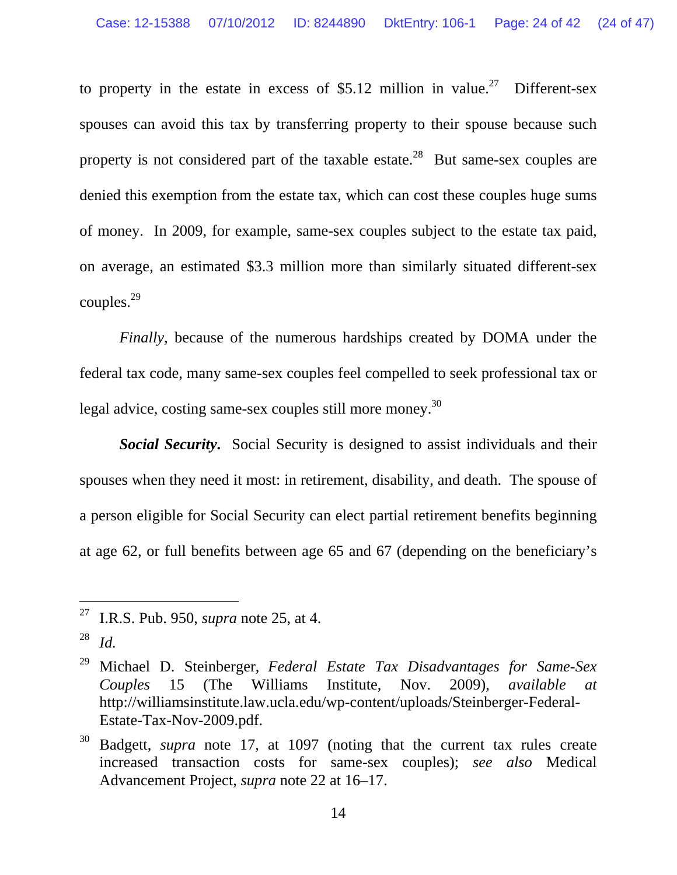to property in the estate in excess of \$5.12 million in value.<sup>27</sup> Different-sex spouses can avoid this tax by transferring property to their spouse because such property is not considered part of the taxable estate.<sup>28</sup> But same-sex couples are denied this exemption from the estate tax, which can cost these couples huge sums of money. In 2009, for example, same-sex couples subject to the estate tax paid, on average, an estimated \$3.3 million more than similarly situated different-sex couples.29

*Finally*, because of the numerous hardships created by DOMA under the federal tax code, many same-sex couples feel compelled to seek professional tax or legal advice, costing same-sex couples still more money.<sup>30</sup>

*Social Security***.** Social Security is designed to assist individuals and their spouses when they need it most: in retirement, disability, and death. The spouse of a person eligible for Social Security can elect partial retirement benefits beginning at age 62, or full benefits between age 65 and 67 (depending on the beneficiary's

<sup>27</sup> I.R.S. Pub. 950, *supra* note 25, at 4.

<sup>28</sup> *Id.*

<sup>29</sup> Michael D. Steinberger, *Federal Estate Tax Disadvantages for Same-Sex Couples* 15 (The Williams Institute, Nov. 2009), *available at* http://williamsinstitute.law.ucla.edu/wp-content/uploads/Steinberger-Federal-Estate-Tax-Nov-2009.pdf.

<sup>30</sup> Badgett, *supra* note 17, at 1097 (noting that the current tax rules create increased transaction costs for same-sex couples); *see also* Medical Advancement Project, *supra* note 22 at 16–17.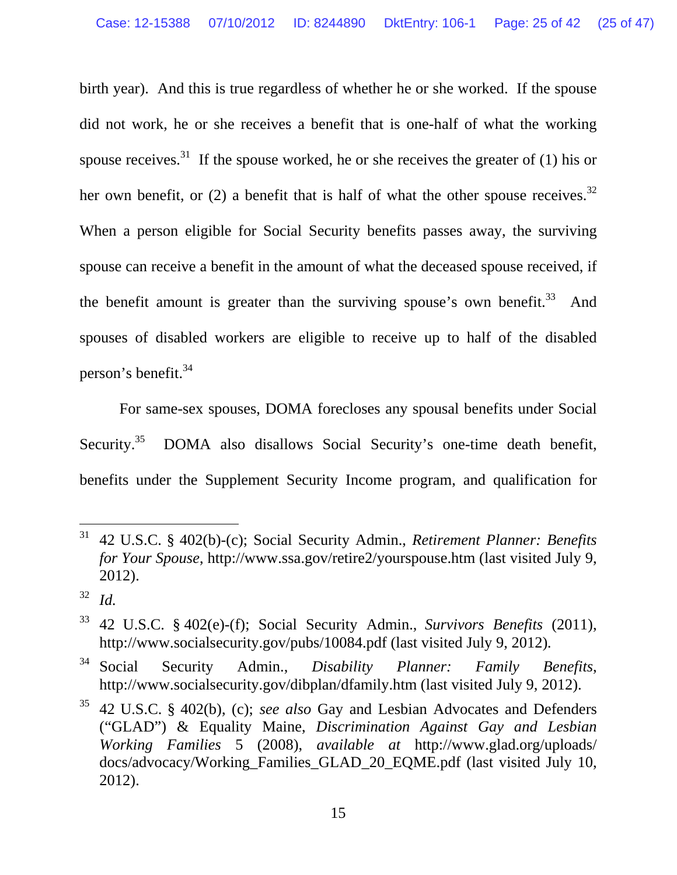birth year). And this is true regardless of whether he or she worked. If the spouse did not work, he or she receives a benefit that is one-half of what the working spouse receives.<sup>31</sup> If the spouse worked, he or she receives the greater of (1) his or her own benefit, or  $(2)$  a benefit that is half of what the other spouse receives.<sup>32</sup> When a person eligible for Social Security benefits passes away, the surviving spouse can receive a benefit in the amount of what the deceased spouse received, if the benefit amount is greater than the surviving spouse's own benefit. $33$  And spouses of disabled workers are eligible to receive up to half of the disabled person's benefit.<sup>34</sup>

 For same-sex spouses, DOMA forecloses any spousal benefits under Social Security.<sup>35</sup> DOMA also disallows Social Security's one-time death benefit, benefits under the Supplement Security Income program, and qualification for

<sup>31 42</sup> U.S.C. § 402(b)-(c); Social Security Admin., *Retirement Planner: Benefits for Your Spouse*, http://www.ssa.gov/retire2/yourspouse.htm (last visited July 9, 2012).

<sup>32</sup> *Id.*

<sup>33 42</sup> U.S.C. § 402(e)-(f); Social Security Admin., *Survivors Benefits* (2011), http://www.socialsecurity.gov/pubs/10084.pdf (last visited July 9, 2012)*.*

<sup>34</sup> Social Security Admin., *Disability Planner: Family Benefits*, http://www.socialsecurity.gov/dibplan/dfamily.htm (last visited July 9, 2012).

<sup>35 42</sup> U.S.C. § 402(b), (c); *see also* Gay and Lesbian Advocates and Defenders ("GLAD") & Equality Maine, *Discrimination Against Gay and Lesbian Working Families* 5 (2008), *available at* http://www.glad.org/uploads/ docs/advocacy/Working\_Families\_GLAD\_20\_EQME.pdf (last visited July 10, 2012).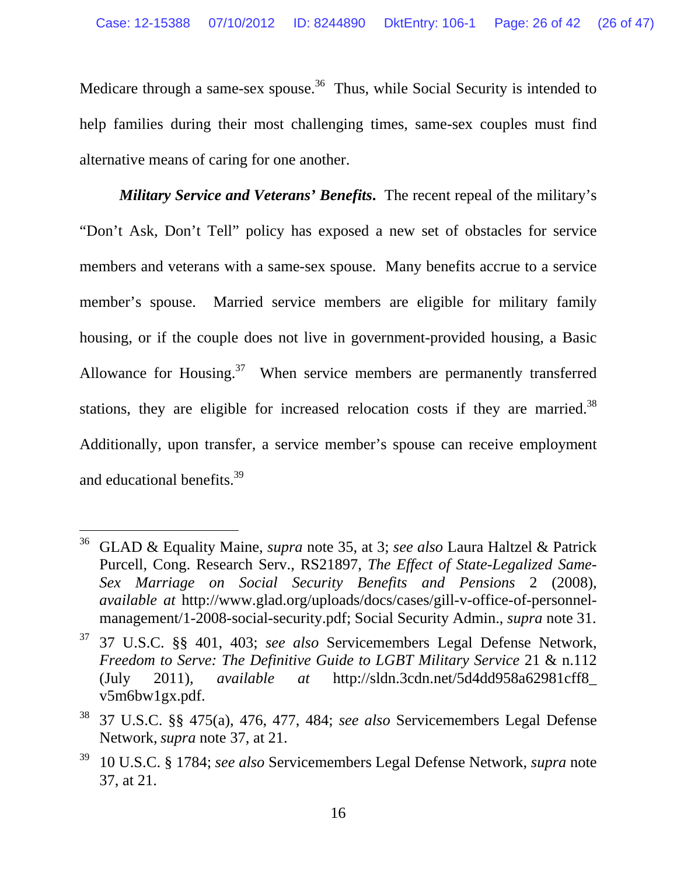Medicare through a same-sex spouse.<sup>36</sup> Thus, while Social Security is intended to help families during their most challenging times, same-sex couples must find alternative means of caring for one another.

*Military Service and Veterans' Benefits***.** The recent repeal of the military's "Don't Ask, Don't Tell" policy has exposed a new set of obstacles for service members and veterans with a same-sex spouse. Many benefits accrue to a service member's spouse. Married service members are eligible for military family housing, or if the couple does not live in government-provided housing, a Basic Allowance for Housing. $37$  When service members are permanently transferred stations, they are eligible for increased relocation costs if they are married.<sup>38</sup> Additionally, upon transfer, a service member's spouse can receive employment and educational benefits.39

<sup>36</sup> GLAD & Equality Maine, *supra* note 35, at 3; *see also* Laura Haltzel & Patrick Purcell, Cong. Research Serv., RS21897, *The Effect of State-Legalized Same-Sex Marriage on Social Security Benefits and Pensions* 2 (2008), *available at* http://www.glad.org/uploads/docs/cases/gill-v-office-of-personnelmanagement/1-2008-social-security.pdf; Social Security Admin., *supra* note 31.

<sup>37 37</sup> U.S.C. §§ 401, 403; *see also* Servicemembers Legal Defense Network, *Freedom to Serve: The Definitive Guide to LGBT Military Service* 21 & n.112 (July 2011), *available at* http://sldn.3cdn.net/5d4dd958a62981cff8\_ v5m6bw1gx.pdf.

<sup>38 37</sup> U.S.C. §§ 475(a), 476, 477, 484; *see also* Servicemembers Legal Defense Network, *supra* note 37, at 21.

<sup>39 10</sup> U.S.C. § 1784; *see also* Servicemembers Legal Defense Network, *supra* note 37, at 21.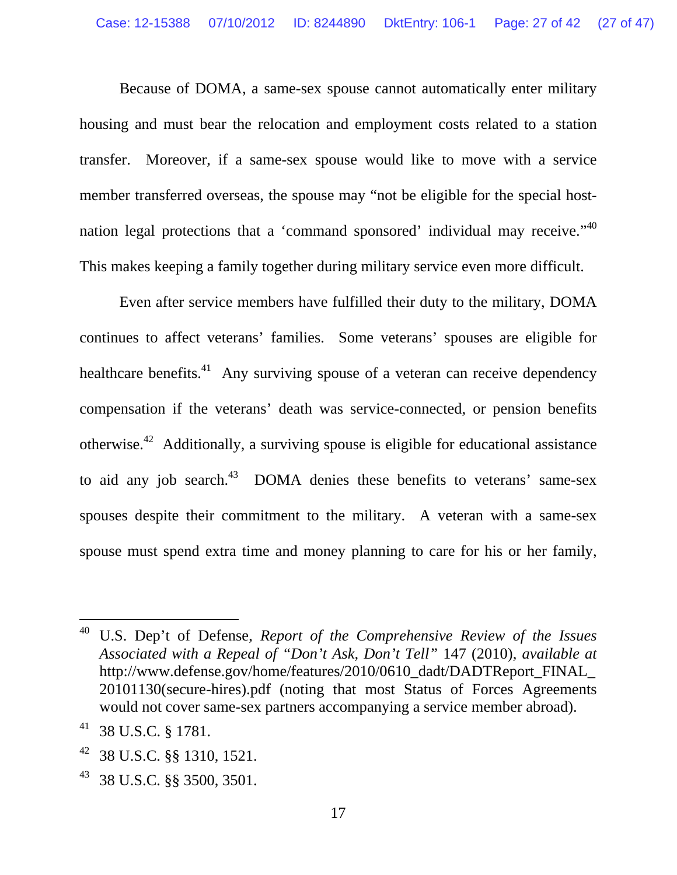Because of DOMA, a same-sex spouse cannot automatically enter military housing and must bear the relocation and employment costs related to a station transfer. Moreover, if a same-sex spouse would like to move with a service member transferred overseas, the spouse may "not be eligible for the special hostnation legal protections that a 'command sponsored' individual may receive."40 This makes keeping a family together during military service even more difficult.

 Even after service members have fulfilled their duty to the military, DOMA continues to affect veterans' families. Some veterans' spouses are eligible for healthcare benefits.<sup>41</sup> Any surviving spouse of a veteran can receive dependency compensation if the veterans' death was service-connected, or pension benefits otherwise.42 Additionally, a surviving spouse is eligible for educational assistance to aid any job search.<sup>43</sup> DOMA denies these benefits to veterans' same-sex spouses despite their commitment to the military. A veteran with a same-sex spouse must spend extra time and money planning to care for his or her family,

 $\overline{a}$ 

43 38 U.S.C. §§ 3500, 3501.

<sup>40</sup> U.S. Dep't of Defense, *Report of the Comprehensive Review of the Issues Associated with a Repeal of "Don't Ask, Don't Tell"* 147 (2010), *available at* http://www.defense.gov/home/features/2010/0610\_dadt/DADTReport\_FINAL\_ 20101130(secure-hires).pdf (noting that most Status of Forces Agreements would not cover same-sex partners accompanying a service member abroad).

<sup>41 38</sup> U.S.C. § 1781.

<sup>42 38</sup> U.S.C. §§ 1310, 1521.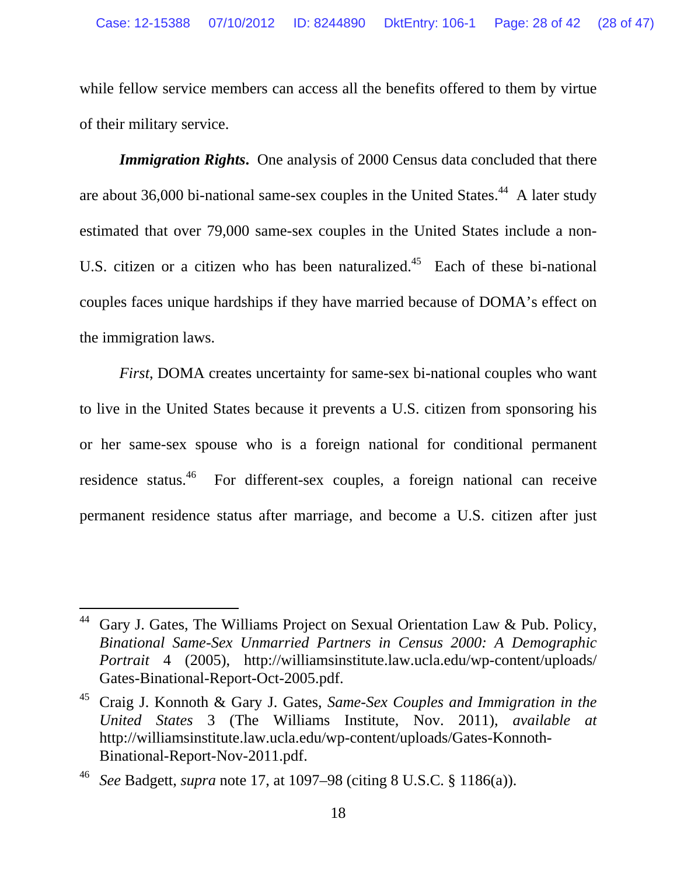while fellow service members can access all the benefits offered to them by virtue of their military service.

*Immigration Rights***.** One analysis of 2000 Census data concluded that there are about 36,000 bi-national same-sex couples in the United States.<sup>44</sup> A later study estimated that over 79,000 same-sex couples in the United States include a non-U.S. citizen or a citizen who has been naturalized.<sup>45</sup> Each of these bi-national couples faces unique hardships if they have married because of DOMA's effect on the immigration laws.

*First*, DOMA creates uncertainty for same-sex bi-national couples who want to live in the United States because it prevents a U.S. citizen from sponsoring his or her same-sex spouse who is a foreign national for conditional permanent residence status.46 For different-sex couples, a foreign national can receive permanent residence status after marriage, and become a U.S. citizen after just

 $44$  Gary J. Gates, The Williams Project on Sexual Orientation Law & Pub. Policy, *Binational Same-Sex Unmarried Partners in Census 2000: A Demographic Portrait* 4 (2005), http://williamsinstitute.law.ucla.edu/wp-content/uploads/ Gates-Binational-Report-Oct-2005.pdf.

<sup>45</sup> Craig J. Konnoth & Gary J. Gates, *Same-Sex Couples and Immigration in the United States* 3 (The Williams Institute, Nov. 2011), *available at* http://williamsinstitute.law.ucla.edu/wp-content/uploads/Gates-Konnoth-Binational-Report-Nov-2011.pdf.

<sup>46</sup> *See* Badgett, *supra* note 17, at 1097–98 (citing 8 U.S.C. § 1186(a)).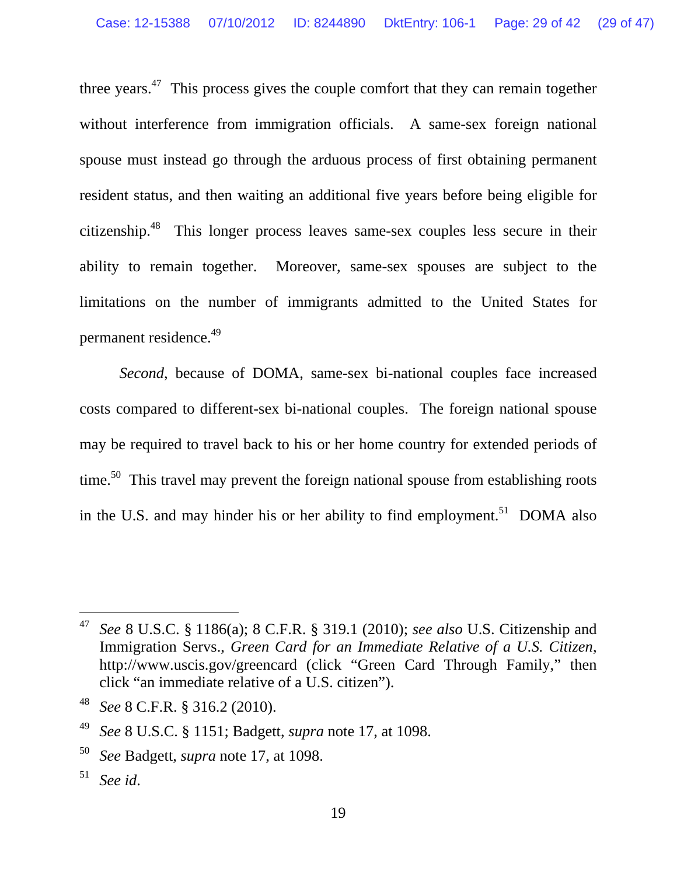three years. $47$  This process gives the couple comfort that they can remain together without interference from immigration officials. A same-sex foreign national spouse must instead go through the arduous process of first obtaining permanent resident status, and then waiting an additional five years before being eligible for citizenship.48 This longer process leaves same-sex couples less secure in their ability to remain together. Moreover, same-sex spouses are subject to the limitations on the number of immigrants admitted to the United States for permanent residence.49

*Second*, because of DOMA, same-sex bi-national couples face increased costs compared to different-sex bi-national couples. The foreign national spouse may be required to travel back to his or her home country for extended periods of time.<sup>50</sup> This travel may prevent the foreign national spouse from establishing roots in the U.S. and may hinder his or her ability to find employment.<sup>51</sup> DOMA also

l

<sup>47</sup> *See* 8 U.S.C. § 1186(a); 8 C.F.R. § 319.1 (2010); *see also* U.S. Citizenship and Immigration Servs., *Green Card for an Immediate Relative of a U.S. Citizen*, http://www.uscis.gov/greencard (click "Green Card Through Family," then click "an immediate relative of a U.S. citizen").

<sup>48</sup> *See* 8 C.F.R. § 316.2 (2010).

<sup>49</sup> *See* 8 U.S.C. § 1151; Badgett, *supra* note 17, at 1098.

<sup>50</sup> *See* Badgett, *supra* note 17, at 1098.

<sup>51</sup> *See id*.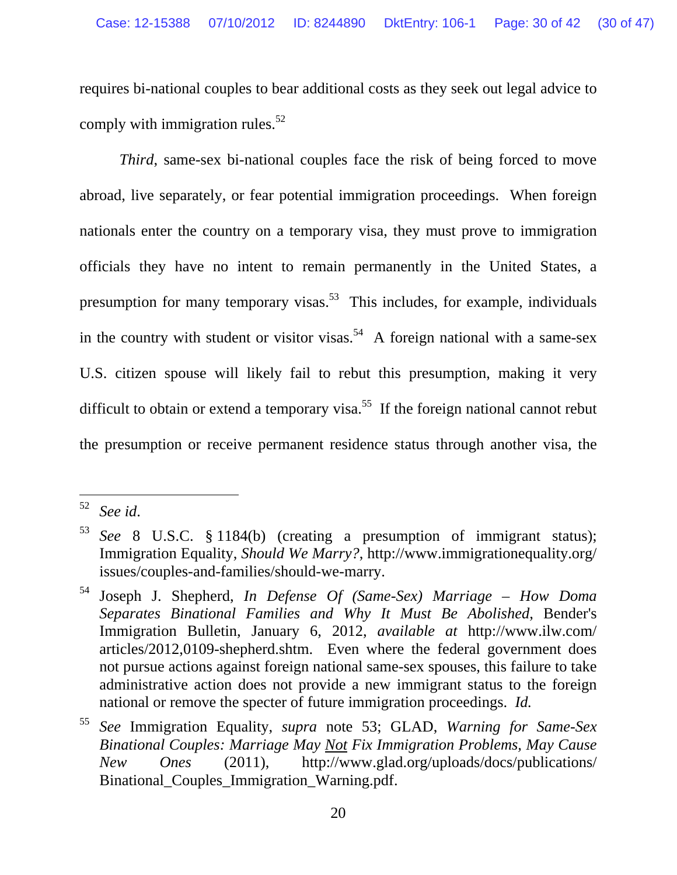requires bi-national couples to bear additional costs as they seek out legal advice to comply with immigration rules. $52$ 

*Third*, same-sex bi-national couples face the risk of being forced to move abroad, live separately, or fear potential immigration proceedings. When foreign nationals enter the country on a temporary visa, they must prove to immigration officials they have no intent to remain permanently in the United States, a presumption for many temporary visas.<sup>53</sup> This includes, for example, individuals in the country with student or visitor visas.<sup>54</sup> A foreign national with a same-sex U.S. citizen spouse will likely fail to rebut this presumption, making it very difficult to obtain or extend a temporary visa.<sup>55</sup> If the foreign national cannot rebut the presumption or receive permanent residence status through another visa, the

<sup>52</sup> *See id*.

<sup>53</sup> *See* 8 U.S.C. § 1184(b) (creating a presumption of immigrant status); Immigration Equality, *Should We Marry?*, http://www.immigrationequality.org/ issues/couples-and-families/should-we-marry.

<sup>54</sup> Joseph J. Shepherd, *In Defense Of (Same-Sex) Marriage – How Doma Separates Binational Families and Why It Must Be Abolished*, Bender's Immigration Bulletin, January 6, 2012, *available at* http://www.ilw.com/ articles/2012,0109-shepherd.shtm. Even where the federal government does not pursue actions against foreign national same-sex spouses, this failure to take administrative action does not provide a new immigrant status to the foreign national or remove the specter of future immigration proceedings. *Id.*

<sup>55</sup> *See* Immigration Equality, *supra* note 53; GLAD, *Warning for Same-Sex Binational Couples: Marriage May Not Fix Immigration Problems, May Cause New Ones* (2011), http://www.glad.org/uploads/docs/publications/ Binational Couples Immigration Warning.pdf.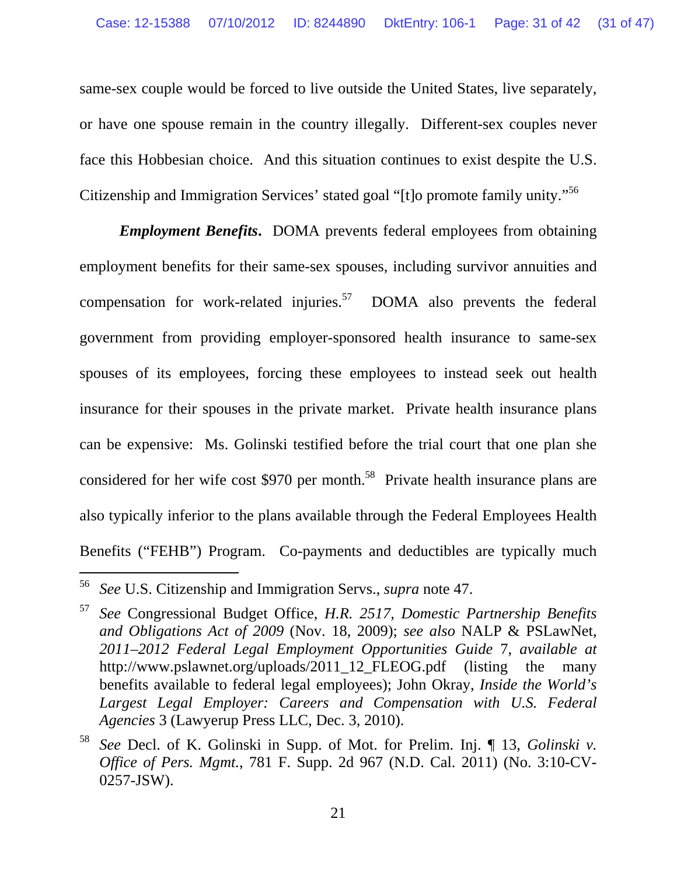same-sex couple would be forced to live outside the United States, live separately, or have one spouse remain in the country illegally. Different-sex couples never face this Hobbesian choice. And this situation continues to exist despite the U.S. Citizenship and Immigration Services' stated goal "[t]o promote family unity."56

*Employment Benefits***.** DOMA prevents federal employees from obtaining employment benefits for their same-sex spouses, including survivor annuities and compensation for work-related injuries.<sup>57</sup> DOMA also prevents the federal government from providing employer-sponsored health insurance to same-sex spouses of its employees, forcing these employees to instead seek out health insurance for their spouses in the private market. Private health insurance plans can be expensive: Ms. Golinski testified before the trial court that one plan she considered for her wife cost \$970 per month.<sup>58</sup> Private health insurance plans are also typically inferior to the plans available through the Federal Employees Health Benefits ("FEHB") Program. Co-payments and deductibles are typically much

<sup>56</sup> *See* U.S. Citizenship and Immigration Servs., *supra* note 47.

<sup>57</sup>*See* Congressional Budget Office, *H.R. 2517, Domestic Partnership Benefits and Obligations Act of 2009* (Nov. 18, 2009); *see also* NALP & PSLawNet, *2011–2012 Federal Legal Employment Opportunities Guide* 7, *available at* http://www.pslawnet.org/uploads/2011\_12\_FLEOG.pdf (listing the many benefits available to federal legal employees); John Okray, *Inside the World's Largest Legal Employer: Careers and Compensation with U.S. Federal Agencies* 3 (Lawyerup Press LLC, Dec. 3, 2010).

<sup>58</sup> *See* Decl. of K. Golinski in Supp. of Mot. for Prelim. Inj. ¶ 13, *Golinski v. Office of Pers. Mgmt.*, 781 F. Supp. 2d 967 (N.D. Cal. 2011) (No. 3:10-CV-0257-JSW).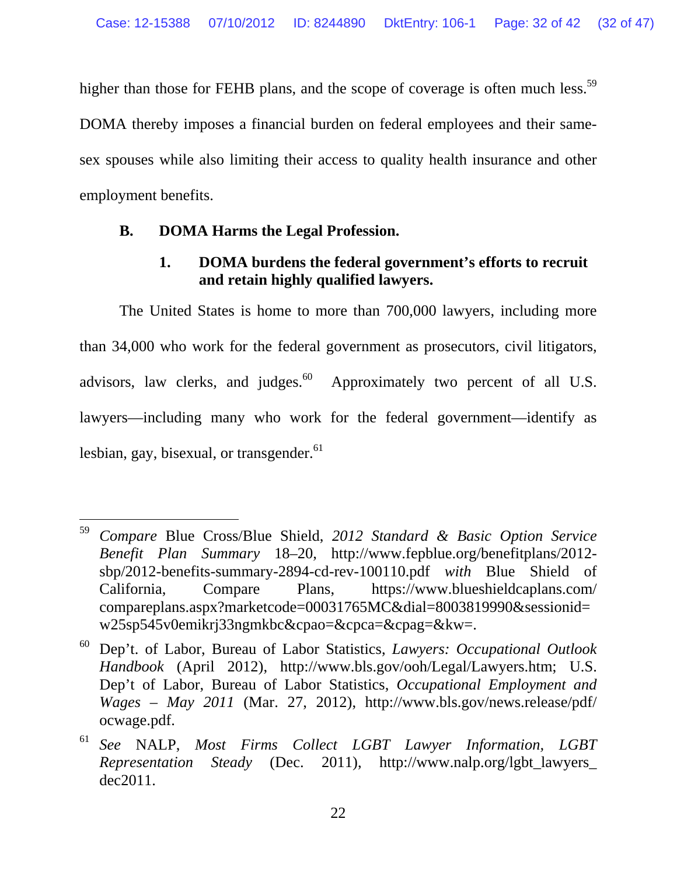higher than those for FEHB plans, and the scope of coverage is often much less.<sup>59</sup>

DOMA thereby imposes a financial burden on federal employees and their samesex spouses while also limiting their access to quality health insurance and other employment benefits.

### **B. DOMA Harms the Legal Profession.**

### **1. DOMA burdens the federal government's efforts to recruit and retain highly qualified lawyers.**

 The United States is home to more than 700,000 lawyers, including more than 34,000 who work for the federal government as prosecutors, civil litigators, advisors, law clerks, and judges. $60$  Approximately two percent of all U.S. lawyers—including many who work for the federal government—identify as lesbian, gay, bisexual, or transgender. $61$ 

 $\overline{a}$ 59 *Compare* Blue Cross/Blue Shield, *2012 Standard & Basic Option Service Benefit Plan Summary* 18–20, http://www.fepblue.org/benefitplans/2012 sbp/2012-benefits-summary-2894-cd-rev-100110.pdf *with* Blue Shield of California, Compare Plans, https://www.blueshieldcaplans.com/ compareplans.aspx?marketcode=00031765MC&dial=8003819990&sessionid= w25sp545v0emikrj33ngmkbc&cpao=&cpca=&cpag=&kw=.

<sup>60</sup> Dep't. of Labor, Bureau of Labor Statistics, *Lawyers: Occupational Outlook Handbook* (April 2012), http://www.bls.gov/ooh/Legal/Lawyers.htm; U.S. Dep't of Labor, Bureau of Labor Statistics, *Occupational Employment and Wages* – *May 2011* (Mar. 27, 2012), http://www.bls.gov/news.release/pdf/ ocwage.pdf.

<sup>61</sup> *See* NALP, *Most Firms Collect LGBT Lawyer Information, LGBT Representation Steady* (Dec. 2011), http://www.nalp.org/lgbt\_lawyers\_ dec2011.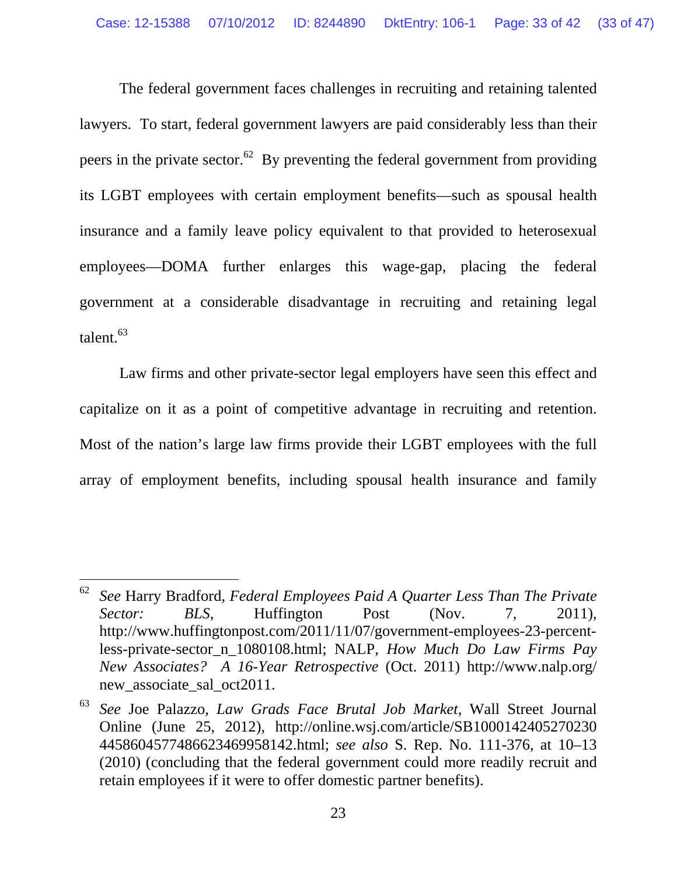The federal government faces challenges in recruiting and retaining talented lawyers. To start, federal government lawyers are paid considerably less than their peers in the private sector.<sup>62</sup> By preventing the federal government from providing its LGBT employees with certain employment benefits—such as spousal health insurance and a family leave policy equivalent to that provided to heterosexual employees—DOMA further enlarges this wage-gap, placing the federal government at a considerable disadvantage in recruiting and retaining legal talent.<sup>63</sup>

 Law firms and other private-sector legal employers have seen this effect and capitalize on it as a point of competitive advantage in recruiting and retention. Most of the nation's large law firms provide their LGBT employees with the full array of employment benefits, including spousal health insurance and family

<sup>62</sup> *See* Harry Bradford, *Federal Employees Paid A Quarter Less Than The Private Sector: BLS*, Huffington Post (Nov. 7, 2011), http://www.huffingtonpost.com/2011/11/07/government-employees-23-percentless-private-sector\_n\_1080108.html; NALP, *How Much Do Law Firms Pay New Associates? A 16-Year Retrospective* (Oct. 2011) http://www.nalp.org/ new associate sal oct2011.

<sup>63</sup> *See* Joe Palazzo, *Law Grads Face Brutal Job Market*, Wall Street Journal Online (June 25, 2012), http://online.wsj.com/article/SB1000142405270230 4458604577486623469958142.html; *see also* S. Rep. No. 111-376, at 10–13 (2010) (concluding that the federal government could more readily recruit and retain employees if it were to offer domestic partner benefits).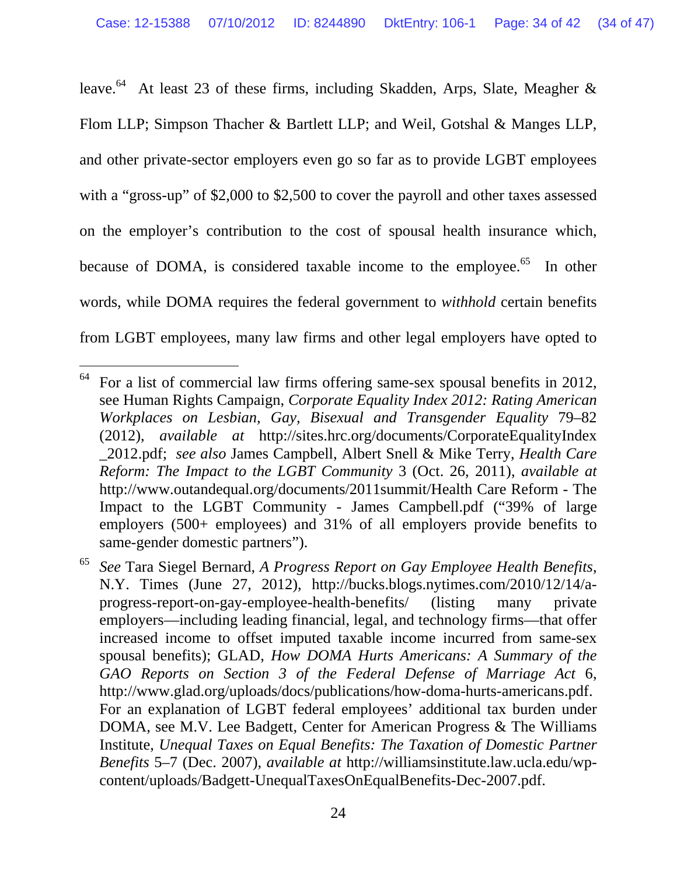leave.<sup>64</sup> At least 23 of these firms, including Skadden, Arps, Slate, Meagher & Flom LLP; Simpson Thacher & Bartlett LLP; and Weil, Gotshal & Manges LLP, and other private-sector employers even go so far as to provide LGBT employees with a "gross-up" of \$2,000 to \$2,500 to cover the payroll and other taxes assessed on the employer's contribution to the cost of spousal health insurance which, because of DOMA, is considered taxable income to the employee.<sup>65</sup> In other words, while DOMA requires the federal government to *withhold* certain benefits from LGBT employees, many law firms and other legal employers have opted to

 $64$  For a list of commercial law firms offering same-sex spousal benefits in 2012, see Human Rights Campaign, *Corporate Equality Index 2012: Rating American Workplaces on Lesbian, Gay, Bisexual and Transgender Equality* 79–82 (2012), *available at* http://sites.hrc.org/documents/CorporateEqualityIndex \_2012.pdf; *see also* James Campbell, Albert Snell & Mike Terry, *Health Care Reform: The Impact to the LGBT Community* 3 (Oct. 26, 2011), *available at* http://www.outandequal.org/documents/2011summit/Health Care Reform - The Impact to the LGBT Community - James Campbell.pdf ("39% of large employers (500+ employees) and 31% of all employers provide benefits to same-gender domestic partners").

<sup>65</sup> *See* Tara Siegel Bernard, *A Progress Report on Gay Employee Health Benefits*, N.Y. Times (June 27, 2012), http://bucks.blogs.nytimes.com/2010/12/14/aprogress-report-on-gay-employee-health-benefits/ (listing many private employers—including leading financial, legal, and technology firms—that offer increased income to offset imputed taxable income incurred from same-sex spousal benefits); GLAD, *How DOMA Hurts Americans: A Summary of the GAO Reports on Section 3 of the Federal Defense of Marriage Act* 6, http://www.glad.org/uploads/docs/publications/how-doma-hurts-americans.pdf. For an explanation of LGBT federal employees' additional tax burden under DOMA, see M.V. Lee Badgett, Center for American Progress & The Williams Institute, *Unequal Taxes on Equal Benefits: The Taxation of Domestic Partner Benefits* 5–7 (Dec. 2007), *available at* http://williamsinstitute.law.ucla.edu/wpcontent/uploads/Badgett-UnequalTaxesOnEqualBenefits-Dec-2007.pdf.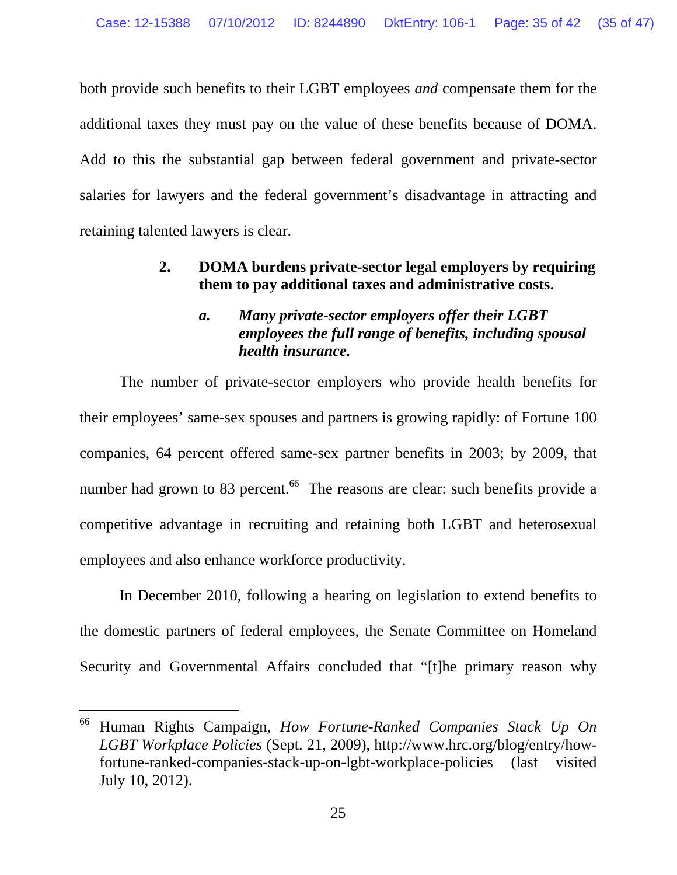both provide such benefits to their LGBT employees *and* compensate them for the additional taxes they must pay on the value of these benefits because of DOMA. Add to this the substantial gap between federal government and private-sector salaries for lawyers and the federal government's disadvantage in attracting and retaining talented lawyers is clear.

### **2. DOMA burdens private-sector legal employers by requiring them to pay additional taxes and administrative costs.**

### *a. Many private-sector employers offer their LGBT employees the full range of benefits, including spousal health insurance.*

The number of private-sector employers who provide health benefits for their employees' same-sex spouses and partners is growing rapidly: of Fortune 100 companies, 64 percent offered same-sex partner benefits in 2003; by 2009, that number had grown to 83 percent.<sup>66</sup> The reasons are clear: such benefits provide a competitive advantage in recruiting and retaining both LGBT and heterosexual employees and also enhance workforce productivity.

In December 2010, following a hearing on legislation to extend benefits to the domestic partners of federal employees, the Senate Committee on Homeland Security and Governmental Affairs concluded that "[t]he primary reason why

<sup>66</sup> Human Rights Campaign, *How Fortune-Ranked Companies Stack Up On LGBT Workplace Policies* (Sept. 21, 2009), http://www.hrc.org/blog/entry/howfortune-ranked-companies-stack-up-on-lgbt-workplace-policies (last visited July 10, 2012).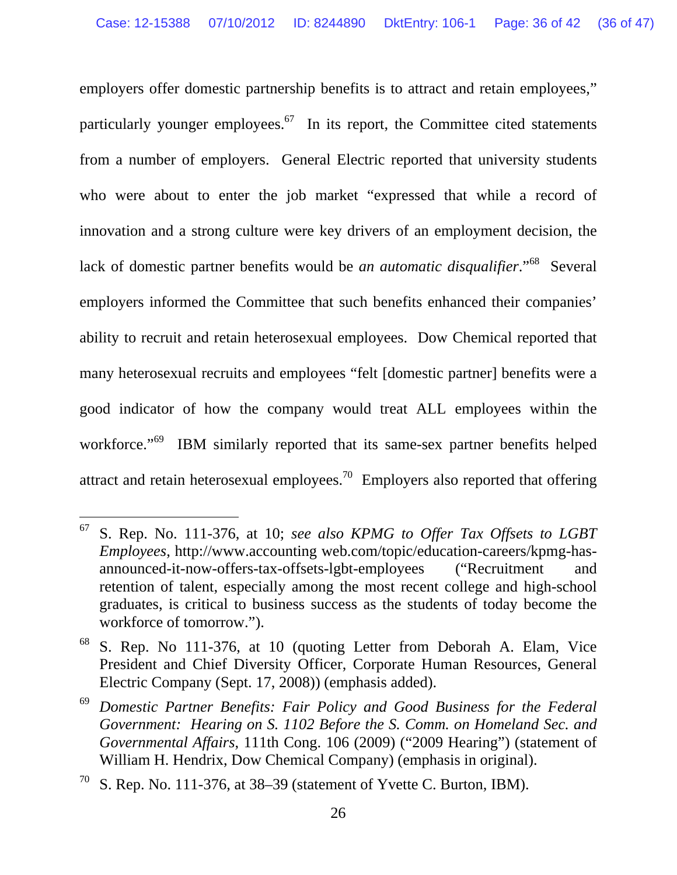employers offer domestic partnership benefits is to attract and retain employees," particularly younger employees. $67$  In its report, the Committee cited statements from a number of employers. General Electric reported that university students who were about to enter the job market "expressed that while a record of innovation and a strong culture were key drivers of an employment decision, the lack of domestic partner benefits would be *an automatic disqualifier*."68 Several employers informed the Committee that such benefits enhanced their companies' ability to recruit and retain heterosexual employees. Dow Chemical reported that many heterosexual recruits and employees "felt [domestic partner] benefits were a good indicator of how the company would treat ALL employees within the workforce."<sup>69</sup> IBM similarly reported that its same-sex partner benefits helped attract and retain heterosexual employees.<sup>70</sup> Employers also reported that offering

 $\overline{a}$ 67 S. Rep. No. 111-376, at 10; *see also KPMG to Offer Tax Offsets to LGBT Employees*, http://www.accounting web.com/topic/education-careers/kpmg-hasannounced-it-now-offers-tax-offsets-lgbt-employees ("Recruitment and retention of talent, especially among the most recent college and high-school graduates, is critical to business success as the students of today become the workforce of tomorrow.").

<sup>68</sup> S. Rep. No 111-376, at 10 (quoting Letter from Deborah A. Elam, Vice President and Chief Diversity Officer, Corporate Human Resources, General Electric Company (Sept. 17, 2008)) (emphasis added).

<sup>69</sup> *Domestic Partner Benefits: Fair Policy and Good Business for the Federal Government: Hearing on S. 1102 Before the S. Comm. on Homeland Sec. and Governmental Affairs*, 111th Cong. 106 (2009) ("2009 Hearing") (statement of William H. Hendrix, Dow Chemical Company) (emphasis in original).

 $70\,$  S. Rep. No. 111-376, at 38–39 (statement of Yvette C. Burton, IBM).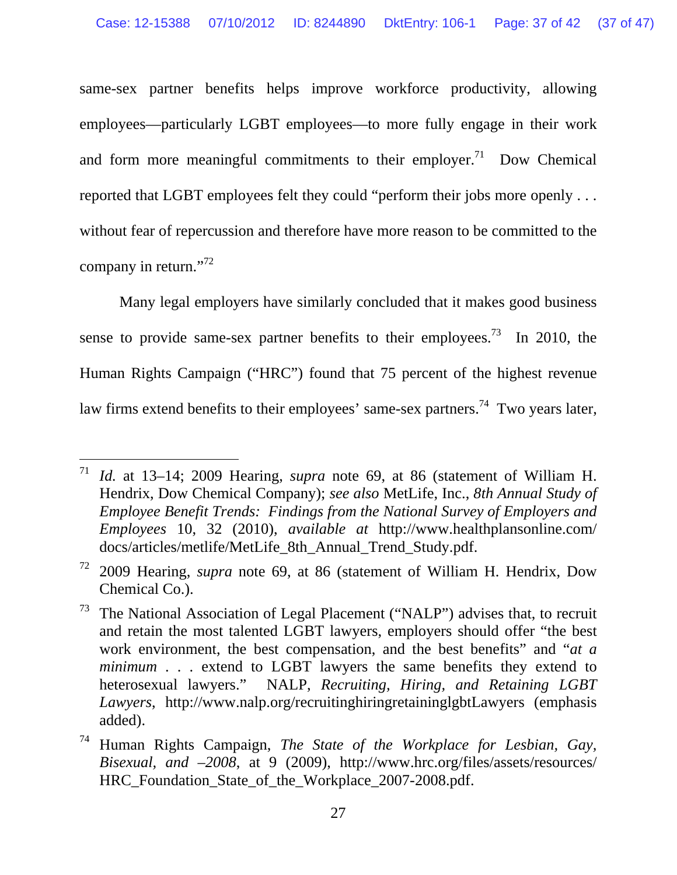same-sex partner benefits helps improve workforce productivity, allowing employees—particularly LGBT employees—to more fully engage in their work and form more meaningful commitments to their employer.<sup>71</sup> Dow Chemical reported that LGBT employees felt they could "perform their jobs more openly . . . without fear of repercussion and therefore have more reason to be committed to the company in return."<sup>72</sup>

Many legal employers have similarly concluded that it makes good business sense to provide same-sex partner benefits to their employees.<sup>73</sup> In 2010, the Human Rights Campaign ("HRC") found that 75 percent of the highest revenue law firms extend benefits to their employees' same-sex partners.<sup>74</sup> Two years later,

<sup>71</sup> *Id.* at 13–14; 2009 Hearing, *supra* note 69, at 86 (statement of William H. Hendrix, Dow Chemical Company); *see also* MetLife, Inc., *8th Annual Study of Employee Benefit Trends: Findings from the National Survey of Employers and Employees* 10, 32 (2010), *available at* http://www.healthplansonline.com/ docs/articles/metlife/MetLife\_8th\_Annual\_Trend\_Study.pdf.

<sup>72 2009</sup> Hearing, *supra* note 69, at 86 (statement of William H. Hendrix, Dow Chemical Co.).

 $73$  The National Association of Legal Placement ("NALP") advises that, to recruit and retain the most talented LGBT lawyers, employers should offer "the best work environment, the best compensation, and the best benefits" and "*at a minimum* . . . extend to LGBT lawyers the same benefits they extend to heterosexual lawyers." NALP, *Recruiting, Hiring, and Retaining LGBT Lawyers*, http://www.nalp.org/recruitinghiringretaininglgbtLawyers (emphasis added).

<sup>74</sup> Human Rights Campaign, *The State of the Workplace for Lesbian, Gay, Bisexual, and –2008*, at 9 (2009), http://www.hrc.org/files/assets/resources/ HRC Foundation State of the Workplace 2007-2008.pdf.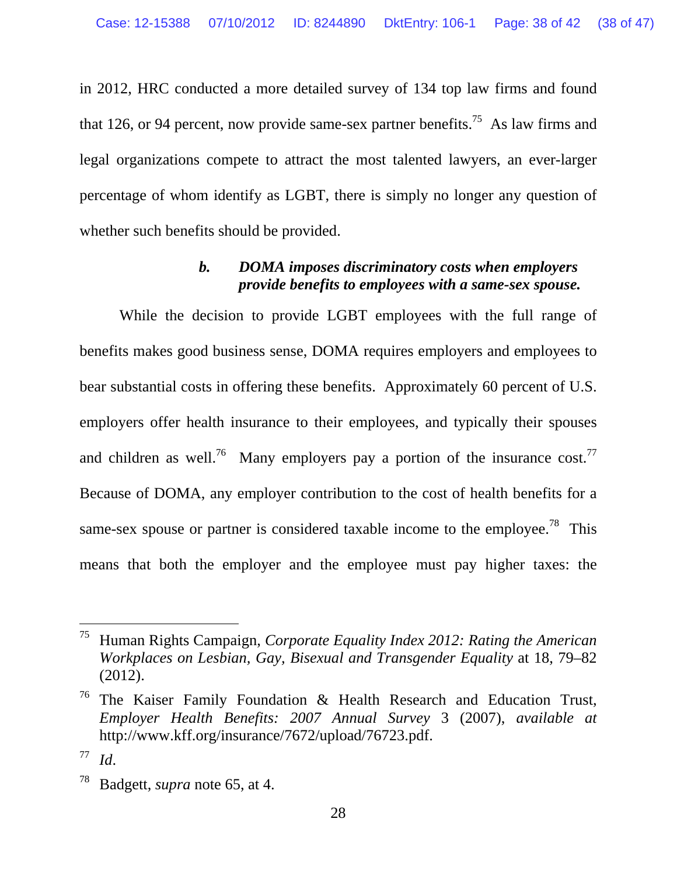in 2012, HRC conducted a more detailed survey of 134 top law firms and found that 126, or 94 percent, now provide same-sex partner benefits.<sup>75</sup> As law firms and legal organizations compete to attract the most talented lawyers, an ever-larger percentage of whom identify as LGBT, there is simply no longer any question of whether such benefits should be provided.

### *b. DOMA imposes discriminatory costs when employers provide benefits to employees with a same-sex spouse.*

While the decision to provide LGBT employees with the full range of benefits makes good business sense, DOMA requires employers and employees to bear substantial costs in offering these benefits. Approximately 60 percent of U.S. employers offer health insurance to their employees, and typically their spouses and children as well.<sup>76</sup> Many employers pay a portion of the insurance cost.<sup>77</sup> Because of DOMA, any employer contribution to the cost of health benefits for a same-sex spouse or partner is considered taxable income to the employee.<sup>78</sup> This means that both the employer and the employee must pay higher taxes: the

<sup>75</sup> Human Rights Campaign, *Corporate Equality Index 2012: Rating the American Workplaces on Lesbian, Gay, Bisexual and Transgender Equality* at 18, 79–82 (2012).

<sup>&</sup>lt;sup>76</sup> The Kaiser Family Foundation  $\&$  Health Research and Education Trust, *Employer Health Benefits: 2007 Annual Survey* 3 (2007), *available at* http://www.kff.org/insurance/7672/upload/76723.pdf.

<sup>77</sup> *Id*.

<sup>78</sup> Badgett, *supra* note 65, at 4.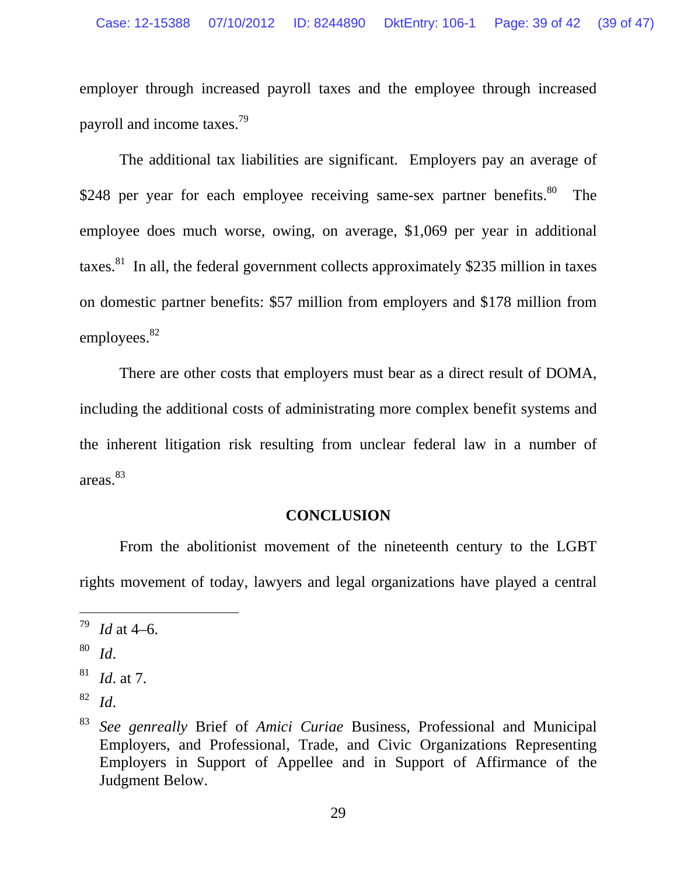employer through increased payroll taxes and the employee through increased payroll and income taxes.79

The additional tax liabilities are significant. Employers pay an average of \$248 per year for each employee receiving same-sex partner benefits.<sup>80</sup> The employee does much worse, owing, on average, \$1,069 per year in additional taxes.<sup>81</sup> In all, the federal government collects approximately \$235 million in taxes on domestic partner benefits: \$57 million from employers and \$178 million from employees.<sup>82</sup>

There are other costs that employers must bear as a direct result of DOMA, including the additional costs of administrating more complex benefit systems and the inherent litigation risk resulting from unclear federal law in a number of areas.83

#### **CONCLUSION**

From the abolitionist movement of the nineteenth century to the LGBT rights movement of today, lawyers and legal organizations have played a central

 $^{79}$  *Id* at 4–6.

<sup>80</sup> *Id*.

<sup>81</sup> *Id*. at 7.

<sup>82</sup> *Id*.

<sup>83</sup> *See genreally* Brief of *Amici Curiae* Business, Professional and Municipal Employers, and Professional, Trade, and Civic Organizations Representing Employers in Support of Appellee and in Support of Affirmance of the Judgment Below.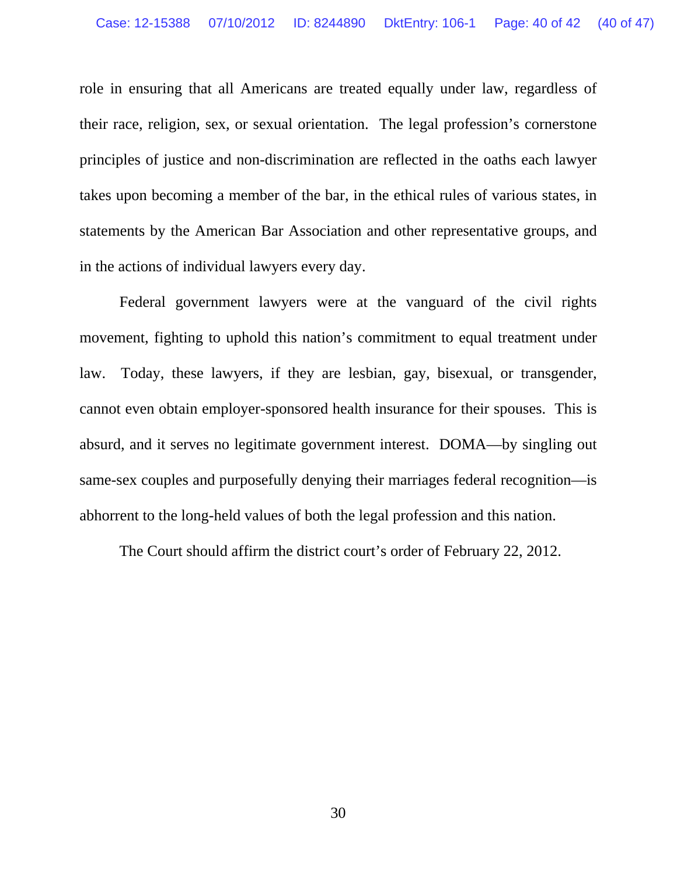role in ensuring that all Americans are treated equally under law, regardless of their race, religion, sex, or sexual orientation. The legal profession's cornerstone principles of justice and non-discrimination are reflected in the oaths each lawyer takes upon becoming a member of the bar, in the ethical rules of various states, in statements by the American Bar Association and other representative groups, and in the actions of individual lawyers every day.

Federal government lawyers were at the vanguard of the civil rights movement, fighting to uphold this nation's commitment to equal treatment under law. Today, these lawyers, if they are lesbian, gay, bisexual, or transgender, cannot even obtain employer-sponsored health insurance for their spouses. This is absurd, and it serves no legitimate government interest. DOMA—by singling out same-sex couples and purposefully denying their marriages federal recognition—is abhorrent to the long-held values of both the legal profession and this nation.

The Court should affirm the district court's order of February 22, 2012.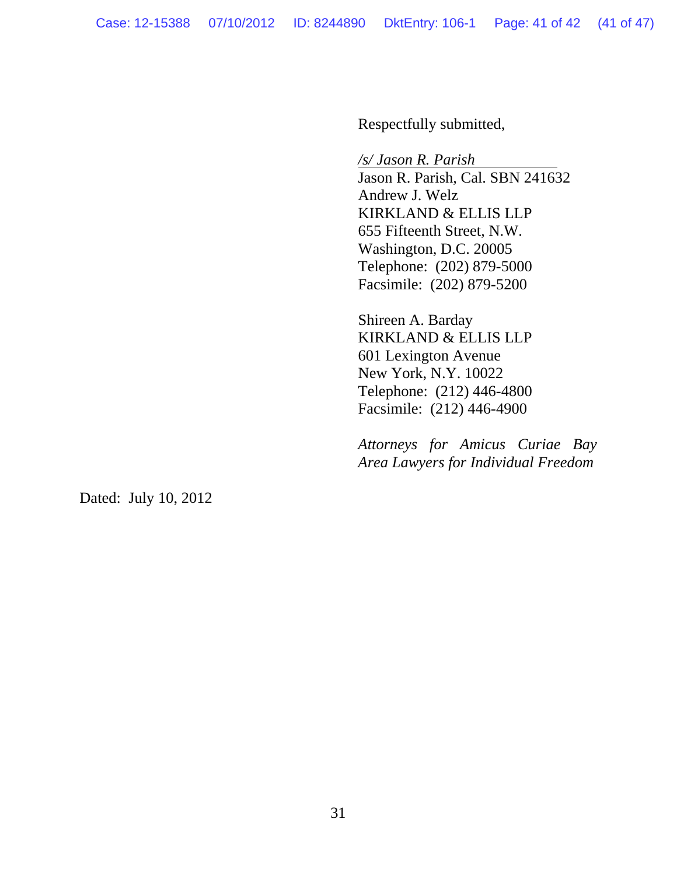Respectfully submitted,

*/s/ Jason R. Parish*  Jason R. Parish, Cal. SBN 241632 Andrew J. Welz KIRKLAND & ELLIS LLP

655 Fifteenth Street, N.W. Washington, D.C. 20005 Telephone: (202) 879-5000 Facsimile: (202) 879-5200

Shireen A. Barday KIRKLAND & ELLIS LLP 601 Lexington Avenue New York, N.Y. 10022 Telephone: (212) 446-4800 Facsimile: (212) 446-4900

*Attorneys for Amicus Curiae Bay Area Lawyers for Individual Freedom* 

Dated: July 10, 2012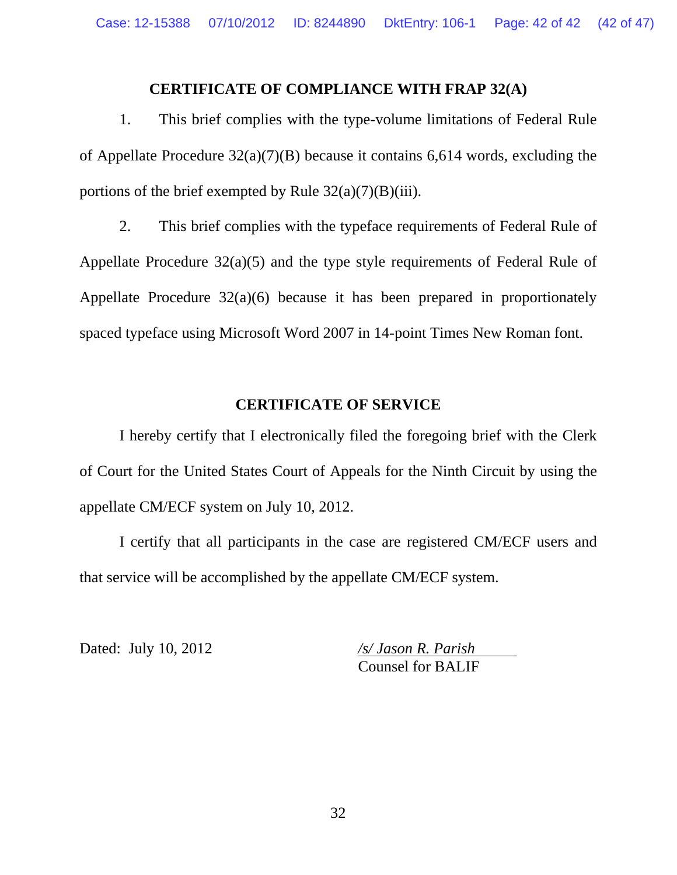#### **CERTIFICATE OF COMPLIANCE WITH FRAP 32(A)**

1. This brief complies with the type-volume limitations of Federal Rule of Appellate Procedure 32(a)(7)(B) because it contains 6,614 words, excluding the portions of the brief exempted by Rule  $32(a)(7)(B)(iii)$ .

 2. This brief complies with the typeface requirements of Federal Rule of Appellate Procedure 32(a)(5) and the type style requirements of Federal Rule of Appellate Procedure 32(a)(6) because it has been prepared in proportionately spaced typeface using Microsoft Word 2007 in 14-point Times New Roman font.

#### **CERTIFICATE OF SERVICE**

 I hereby certify that I electronically filed the foregoing brief with the Clerk of Court for the United States Court of Appeals for the Ninth Circuit by using the appellate CM/ECF system on July 10, 2012.

 I certify that all participants in the case are registered CM/ECF users and that service will be accomplished by the appellate CM/ECF system.

Dated: July 10, 2012 */s/ Jason R. Parish* 

Counsel for BALIF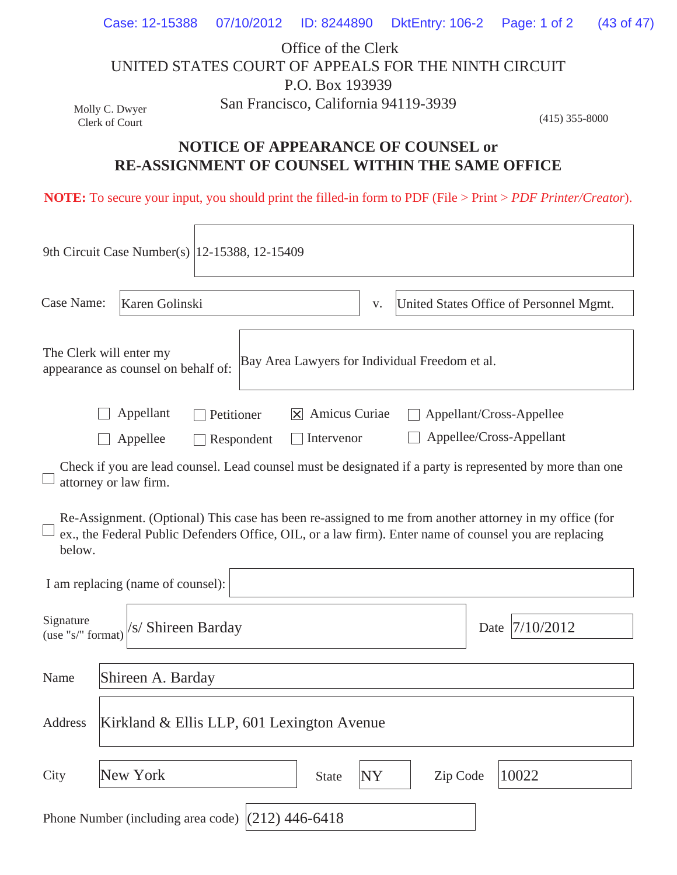|                                                      | Case: 12-15388 07/10/2012 ID: 8244890 DktEntry: 106-2 Page: 1 of 2 (43 of 47) |                                      |  |                  |  |  |  |  |
|------------------------------------------------------|-------------------------------------------------------------------------------|--------------------------------------|--|------------------|--|--|--|--|
|                                                      |                                                                               | Office of the Clerk                  |  |                  |  |  |  |  |
| UNITED STATES COURT OF APPEALS FOR THE NINTH CIRCUIT |                                                                               |                                      |  |                  |  |  |  |  |
|                                                      |                                                                               | P.O. Box 193939                      |  |                  |  |  |  |  |
| Molly C. Dwyer                                       |                                                                               | San Francisco, California 94119-3939 |  |                  |  |  |  |  |
| Clerk of Court                                       |                                                                               |                                      |  | $(415)$ 355-8000 |  |  |  |  |

## **NOTICE OF APPEARANCE OF COUNSEL or RE-ASSIGNMENT OF COUNSEL WITHIN THE SAME OFFICE**

**NOTE:** To secure your input, you should print the filled-in form to PDF (File > Print > *PDF Printer/Creator*).

| 9th Circuit Case Number(s)   12-15388, 12-15409 |                                                                                                                  |                                                                                                                                                                                                                  |                |                                                                                                           |  |  |  |  |
|-------------------------------------------------|------------------------------------------------------------------------------------------------------------------|------------------------------------------------------------------------------------------------------------------------------------------------------------------------------------------------------------------|----------------|-----------------------------------------------------------------------------------------------------------|--|--|--|--|
| Case Name:                                      | Karen Golinski                                                                                                   |                                                                                                                                                                                                                  | V.             | United States Office of Personnel Mgmt.                                                                   |  |  |  |  |
|                                                 | The Clerk will enter my<br>Bay Area Lawyers for Individual Freedom et al.<br>appearance as counsel on behalf of: |                                                                                                                                                                                                                  |                |                                                                                                           |  |  |  |  |
|                                                 | Appellant<br>Appellee                                                                                            | Amicus Curiae<br>Petitioner<br>IXI<br>Intervenor<br>Respondent                                                                                                                                                   |                | Appellant/Cross-Appellee<br>Appellee/Cross-Appellant                                                      |  |  |  |  |
|                                                 | attorney or law firm.                                                                                            |                                                                                                                                                                                                                  |                | Check if you are lead counsel. Lead counsel must be designated if a party is represented by more than one |  |  |  |  |
| below.                                          |                                                                                                                  | Re-Assignment. (Optional) This case has been re-assigned to me from another attorney in my office (for<br>ex., the Federal Public Defenders Office, OIL, or a law firm). Enter name of counsel you are replacing |                |                                                                                                           |  |  |  |  |
|                                                 | I am replacing (name of counsel):                                                                                |                                                                                                                                                                                                                  |                |                                                                                                           |  |  |  |  |
| Signature<br>(use "s/" format)                  | /s/ Shireen Barday                                                                                               |                                                                                                                                                                                                                  |                | 7/10/2012<br>Date                                                                                         |  |  |  |  |
| Name                                            | Shireen A. Barday                                                                                                |                                                                                                                                                                                                                  |                |                                                                                                           |  |  |  |  |
| Address                                         | Kirkland & Ellis LLP, 601 Lexington Avenue                                                                       |                                                                                                                                                                                                                  |                |                                                                                                           |  |  |  |  |
| City                                            | New York                                                                                                         | <b>State</b>                                                                                                                                                                                                     | Zip Code<br>NY | 10022                                                                                                     |  |  |  |  |
|                                                 |                                                                                                                  | Phone Number (including area code) $(212)$ 446-6418                                                                                                                                                              |                |                                                                                                           |  |  |  |  |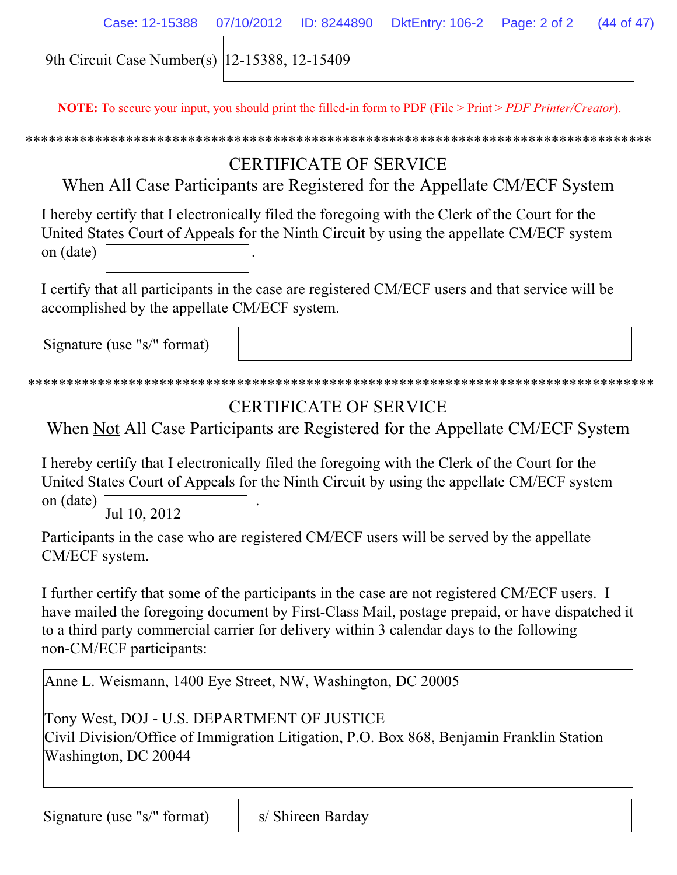| Case: 12-15388 07/10/2012 ID: 8244890 DktEntry: 106-2 Page: 2 of 2 (44 of 47) |  |  |  |
|-------------------------------------------------------------------------------|--|--|--|
| 9th Circuit Case Number(s) 12-15388, 12-15409                                 |  |  |  |

**NOTE:** To secure your input, you should print the filled-in form to PDF (File > Print > *PDF Printer/Creator*).

# CERTIFICATE OF SERVICE

When All Case Participants are Registered for the Appellate CM/ECF System

I hereby certify that I electronically filed the foregoing with the Clerk of the Court for the United States Court of Appeals for the Ninth Circuit by using the appellate CM/ECF system on (date) .

I certify that all participants in the case are registered CM/ECF users and that service will be accomplished by the appellate CM/ECF system.

Signature (use "s/" format)

```
*********************************************************************************
```
# CERTIFICATE OF SERVICE

When Not All Case Participants are Registered for the Appellate CM/ECF System

I hereby certify that I electronically filed the foregoing with the Clerk of the Court for the United States Court of Appeals for the Ninth Circuit by using the appellate CM/ECF system

on (date) . Jul 10, 2012

Participants in the case who are registered CM/ECF users will be served by the appellate CM/ECF system.

I further certify that some of the participants in the case are not registered CM/ECF users. I have mailed the foregoing document by First-Class Mail, postage prepaid, or have dispatched it to a third party commercial carrier for delivery within 3 calendar days to the following non-CM/ECF participants:

Anne L. Weismann, 1400 Eye Street, NW, Washington, DC 20005

Tony West, DOJ - U.S. DEPARTMENT OF JUSTICE Civil Division/Office of Immigration Litigation, P.O. Box 868, Benjamin Franklin Station Washington, DC 20044

Signature (use "s/" format)

s/ Shireen Barday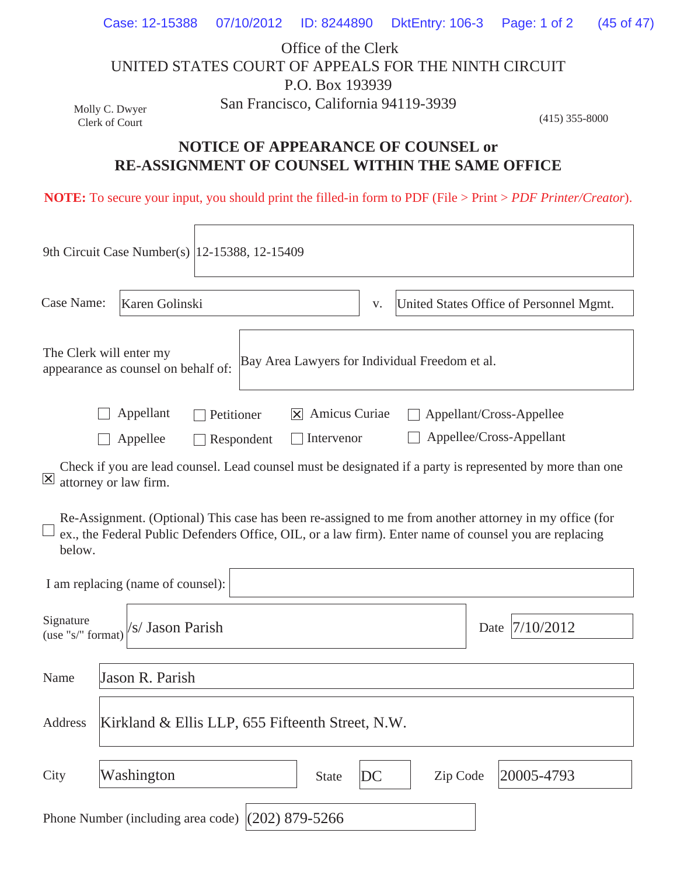|                                                      |  |  |                                      | Case: 12-15388 07/10/2012 ID: 8244890 DktEntry: 106-3 Page: 1 of 2 (45 of 47) |                  |  |  |  |
|------------------------------------------------------|--|--|--------------------------------------|-------------------------------------------------------------------------------|------------------|--|--|--|
|                                                      |  |  | Office of the Clerk                  |                                                                               |                  |  |  |  |
| UNITED STATES COURT OF APPEALS FOR THE NINTH CIRCUIT |  |  |                                      |                                                                               |                  |  |  |  |
|                                                      |  |  | P.O. Box 193939                      |                                                                               |                  |  |  |  |
| Molly C. Dwyer                                       |  |  | San Francisco, California 94119-3939 |                                                                               |                  |  |  |  |
| Clerk of Court                                       |  |  |                                      |                                                                               | $(415)$ 355-8000 |  |  |  |

## **NOTICE OF APPEARANCE OF COUNSEL or RE-ASSIGNMENT OF COUNSEL WITHIN THE SAME OFFICE**

**NOTE:** To secure your input, you should print the filled-in form to PDF (File > Print > *PDF Printer/Creator*).

|                                                                                                                                                                                                                            | 9th Circuit Case Number(s)   12-15388, 12-15409                                                                                                 |                                               |              |    |          |      |            |
|----------------------------------------------------------------------------------------------------------------------------------------------------------------------------------------------------------------------------|-------------------------------------------------------------------------------------------------------------------------------------------------|-----------------------------------------------|--------------|----|----------|------|------------|
| Case Name:                                                                                                                                                                                                                 | Karen Golinski                                                                                                                                  | United States Office of Personnel Mgmt.<br>V. |              |    |          |      |            |
| The Clerk will enter my<br>Bay Area Lawyers for Individual Freedom et al.<br>appearance as counsel on behalf of:                                                                                                           |                                                                                                                                                 |                                               |              |    |          |      |            |
|                                                                                                                                                                                                                            | Appellant<br>Amicus Curiae<br>Appellant/Cross-Appellee<br>Petitioner<br>IXI<br>Appellee/Cross-Appellant<br>Intervenor<br>Appellee<br>Respondent |                                               |              |    |          |      |            |
| Check if you are lead counsel. Lead counsel must be designated if a party is represented by more than one<br>$\vert x \vert$<br>attorney or law firm.                                                                      |                                                                                                                                                 |                                               |              |    |          |      |            |
| Re-Assignment. (Optional) This case has been re-assigned to me from another attorney in my office (for<br>ex., the Federal Public Defenders Office, OIL, or a law firm). Enter name of counsel you are replacing<br>below. |                                                                                                                                                 |                                               |              |    |          |      |            |
| I am replacing (name of counsel):                                                                                                                                                                                          |                                                                                                                                                 |                                               |              |    |          |      |            |
| Signature<br>(use "s/" format)                                                                                                                                                                                             | 's/ Jason Parish                                                                                                                                |                                               |              |    |          | Date | 7/10/2012  |
| Jason R. Parish<br>Name                                                                                                                                                                                                    |                                                                                                                                                 |                                               |              |    |          |      |            |
| Address                                                                                                                                                                                                                    | Kirkland & Ellis LLP, 655 Fifteenth Street, N.W.                                                                                                |                                               |              |    |          |      |            |
| City                                                                                                                                                                                                                       | Washington                                                                                                                                      |                                               | <b>State</b> | DC | Zip Code |      | 20005-4793 |
| Phone Number (including area code) $(202)$ 879-5266                                                                                                                                                                        |                                                                                                                                                 |                                               |              |    |          |      |            |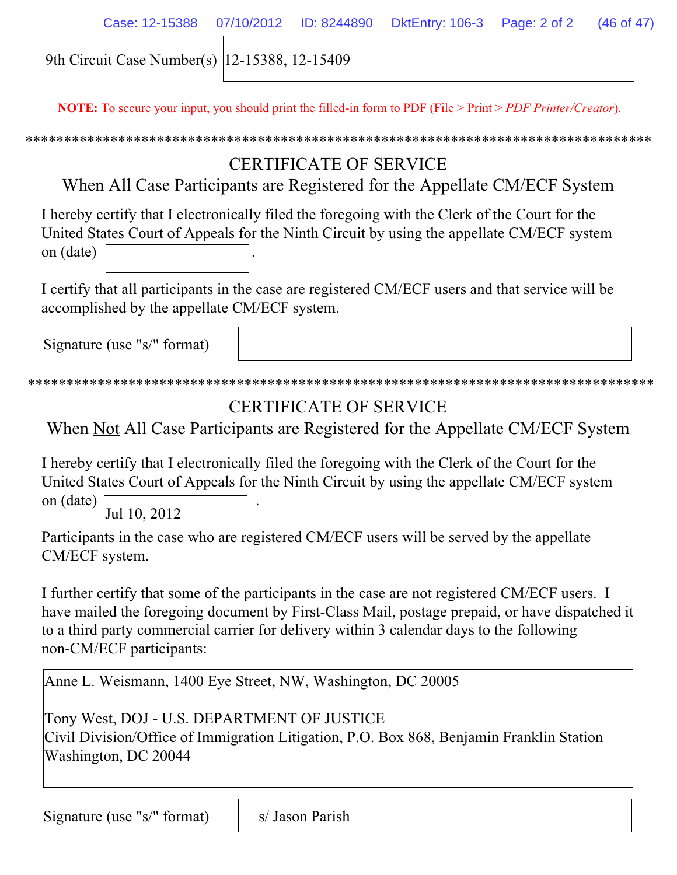|  | Case: 12-15388 07/10/2012 ID: 8244890 DktEntry: 106-3 Page: 2 of 2 (46 of 47) |  |
|--|-------------------------------------------------------------------------------|--|
|  |                                                                               |  |

9th Circuit Case Number(s) 12-15388, 12-15409

**NOTE:** To secure your input, you should print the filled-in form to PDF (File > Print > *PDF Printer/Creator*).

\*\*\*\*\*\*\*\*\*\*\*\*\*\*\*\*\*\*\*\*\*\*\*\*\*\*\*\*\*\*\*\*\*\*\*\*\*\*\*\*\*\*\*\*\*\*\*\*\*\*\*\*\*\*\*\*\*\*\*\*\*\*\*\*\*\*\*\*\*\*\*\*\*\*\*\*\*\*\*\*\*

# CERTIFICATE OF SERVICE

When All Case Participants are Registered for the Appellate CM/ECF System

I hereby certify that I electronically filed the foregoing with the Clerk of the Court for the United States Court of Appeals for the Ninth Circuit by using the appellate CM/ECF system on (date) .

I certify that all participants in the case are registered CM/ECF users and that service will be accomplished by the appellate CM/ECF system.

Signature (use "s/" format)

```
*********************************************************************************
```
# CERTIFICATE OF SERVICE

When Not All Case Participants are Registered for the Appellate CM/ECF System

I hereby certify that I electronically filed the foregoing with the Clerk of the Court for the United States Court of Appeals for the Ninth Circuit by using the appellate CM/ECF system

on (date) . Jul 10, 2012

Participants in the case who are registered CM/ECF users will be served by the appellate CM/ECF system.

I further certify that some of the participants in the case are not registered CM/ECF users. I have mailed the foregoing document by First-Class Mail, postage prepaid, or have dispatched it to a third party commercial carrier for delivery within 3 calendar days to the following non-CM/ECF participants:

Anne L. Weismann, 1400 Eye Street, NW, Washington, DC 20005

Tony West, DOJ - U.S. DEPARTMENT OF JUSTICE Civil Division/Office of Immigration Litigation, P.O. Box 868, Benjamin Franklin Station Washington, DC 20044

Signature (use "s/" format)

s/ Jason Parish